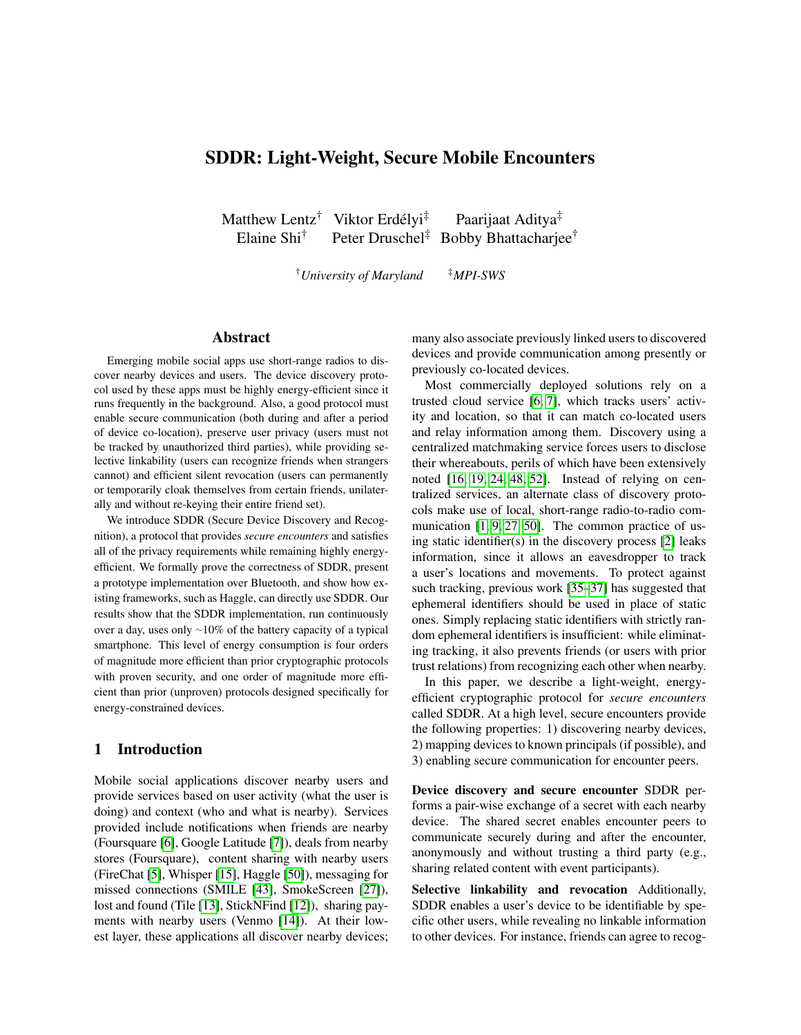# SDDR: Light-Weight, Secure Mobile Encounters

Matthew Lentz<sup>†</sup> Viktor Erdélyi<sup>‡</sup> Paarijaat Aditya<sup>‡</sup> Elaine Shi<sup>†</sup> Peter Druschel<sup>‡</sup> Bobby Bhattacharjee<sup>†</sup>

†*University of Maryland* ‡*MPI-SWS*

# Abstract

Emerging mobile social apps use short-range radios to discover nearby devices and users. The device discovery protocol used by these apps must be highly energy-efficient since it runs frequently in the background. Also, a good protocol must enable secure communication (both during and after a period of device co-location), preserve user privacy (users must not be tracked by unauthorized third parties), while providing selective linkability (users can recognize friends when strangers cannot) and efficient silent revocation (users can permanently or temporarily cloak themselves from certain friends, unilaterally and without re-keying their entire friend set).

We introduce SDDR (Secure Device Discovery and Recognition), a protocol that provides *secure encounters* and satisfies all of the privacy requirements while remaining highly energyefficient. We formally prove the correctness of SDDR, present a prototype implementation over Bluetooth, and show how existing frameworks, such as Haggle, can directly use SDDR. Our results show that the SDDR implementation, run continuously over a day, uses only ∼10% of the battery capacity of a typical smartphone. This level of energy consumption is four orders of magnitude more efficient than prior cryptographic protocols with proven security, and one order of magnitude more efficient than prior (unproven) protocols designed specifically for energy-constrained devices.

## 1 Introduction

Mobile social applications discover nearby users and provide services based on user activity (what the user is doing) and context (who and what is nearby). Services provided include notifications when friends are nearby (Foursquare [\[6\]](#page-12-0), Google Latitude [\[7\]](#page-12-1)), deals from nearby stores (Foursquare), content sharing with nearby users (FireChat [\[5\]](#page-12-2), Whisper [\[15\]](#page-12-3), Haggle [\[50\]](#page-13-0)), messaging for missed connections (SMILE [\[43\]](#page-12-4), SmokeScreen [\[27\]](#page-12-5)), lost and found (Tile [\[13\]](#page-12-6), StickNFind [\[12\]](#page-12-7)), sharing payments with nearby users (Venmo [\[14\]](#page-12-8)). At their lowest layer, these applications all discover nearby devices; many also associate previously linked users to discovered devices and provide communication among presently or previously co-located devices.

Most commercially deployed solutions rely on a trusted cloud service [\[6,](#page-12-0) [7\]](#page-12-1), which tracks users' activity and location, so that it can match co-located users and relay information among them. Discovery using a centralized matchmaking service forces users to disclose their whereabouts, perils of which have been extensively noted [\[16,](#page-12-9) [19,](#page-12-10) [24,](#page-12-11) [48,](#page-12-12) [52\]](#page-13-1). Instead of relying on centralized services, an alternate class of discovery protocols make use of local, short-range radio-to-radio communication [\[1,](#page-12-13) [9,](#page-12-14) [27,](#page-12-5) [50\]](#page-13-0). The common practice of using static identifier(s) in the discovery process [\[2\]](#page-12-15) leaks information, since it allows an eavesdropper to track a user's locations and movements. To protect against such tracking, previous work [\[35](#page-12-16)[–37\]](#page-12-17) has suggested that ephemeral identifiers should be used in place of static ones. Simply replacing static identifiers with strictly random ephemeral identifiers is insufficient: while eliminating tracking, it also prevents friends (or users with prior trust relations) from recognizing each other when nearby.

In this paper, we describe a light-weight, energyefficient cryptographic protocol for *secure encounters* called SDDR. At a high level, secure encounters provide the following properties: 1) discovering nearby devices, 2) mapping devices to known principals (if possible), and 3) enabling secure communication for encounter peers.

Device discovery and secure encounter SDDR performs a pair-wise exchange of a secret with each nearby device. The shared secret enables encounter peers to communicate securely during and after the encounter, anonymously and without trusting a third party (e.g., sharing related content with event participants).

Selective linkability and revocation Additionally, SDDR enables a user's device to be identifiable by specific other users, while revealing no linkable information to other devices. For instance, friends can agree to recog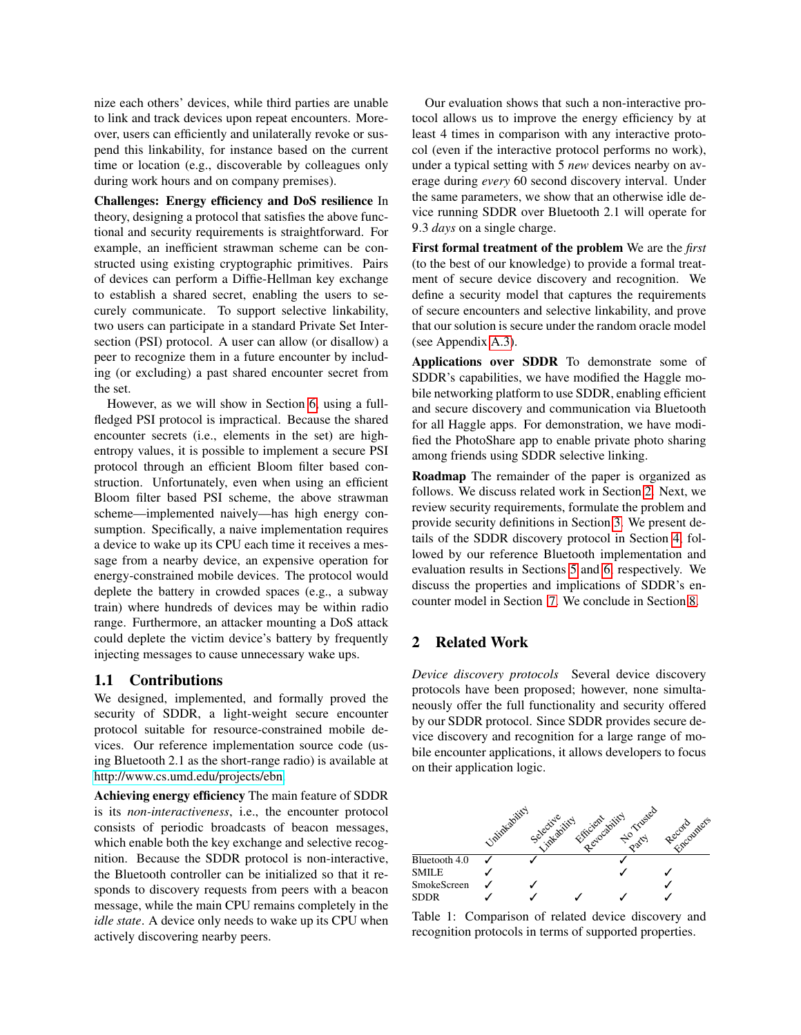nize each others' devices, while third parties are unable to link and track devices upon repeat encounters. Moreover, users can efficiently and unilaterally revoke or suspend this linkability, for instance based on the current time or location (e.g., discoverable by colleagues only during work hours and on company premises).

Challenges: Energy efficiency and DoS resilience In theory, designing a protocol that satisfies the above functional and security requirements is straightforward. For example, an inefficient strawman scheme can be constructed using existing cryptographic primitives. Pairs of devices can perform a Diffie-Hellman key exchange to establish a shared secret, enabling the users to securely communicate. To support selective linkability, two users can participate in a standard Private Set Intersection (PSI) protocol. A user can allow (or disallow) a peer to recognize them in a future encounter by including (or excluding) a past shared encounter secret from the set.

However, as we will show in Section [6,](#page-8-0) using a fullfledged PSI protocol is impractical. Because the shared encounter secrets (i.e., elements in the set) are highentropy values, it is possible to implement a secure PSI protocol through an efficient Bloom filter based construction. Unfortunately, even when using an efficient Bloom filter based PSI scheme, the above strawman scheme—implemented naively—has high energy consumption. Specifically, a naive implementation requires a device to wake up its CPU each time it receives a message from a nearby device, an expensive operation for energy-constrained mobile devices. The protocol would deplete the battery in crowded spaces (e.g., a subway train) where hundreds of devices may be within radio range. Furthermore, an attacker mounting a DoS attack could deplete the victim device's battery by frequently injecting messages to cause unnecessary wake ups.

#### 1.1 Contributions

We designed, implemented, and formally proved the security of SDDR, a light-weight secure encounter protocol suitable for resource-constrained mobile devices. Our reference implementation source code (using Bluetooth 2.1 as the short-range radio) is available at [http://www.cs.umd.edu/projects/ebn.](http://www.cs.umd.edu/projects/ebn)

Achieving energy efficiency The main feature of SDDR is its *non-interactiveness*, i.e., the encounter protocol consists of periodic broadcasts of beacon messages, which enable both the key exchange and selective recognition. Because the SDDR protocol is non-interactive, the Bluetooth controller can be initialized so that it responds to discovery requests from peers with a beacon message, while the main CPU remains completely in the *idle state*. A device only needs to wake up its CPU when actively discovering nearby peers.

Our evaluation shows that such a non-interactive protocol allows us to improve the energy efficiency by at least 4 times in comparison with any interactive protocol (even if the interactive protocol performs no work), under a typical setting with 5 *new* devices nearby on average during *every* 60 second discovery interval. Under the same parameters, we show that an otherwise idle device running SDDR over Bluetooth 2.1 will operate for 9.3 *days* on a single charge.

First formal treatment of the problem We are the *first* (to the best of our knowledge) to provide a formal treatment of secure device discovery and recognition. We define a security model that captures the requirements of secure encounters and selective linkability, and prove that our solution is secure under the random oracle model (see Appendix [A.3\)](#page-14-0).

Applications over SDDR To demonstrate some of SDDR's capabilities, we have modified the Haggle mobile networking platform to use SDDR, enabling efficient and secure discovery and communication via Bluetooth for all Haggle apps. For demonstration, we have modified the PhotoShare app to enable private photo sharing among friends using SDDR selective linking.

Roadmap The remainder of the paper is organized as follows. We discuss related work in Section [2.](#page-1-0) Next, we review security requirements, formulate the problem and provide security definitions in Section [3.](#page-3-0) We present details of the SDDR discovery protocol in Section [4,](#page-4-0) followed by our reference Bluetooth implementation and evaluation results in Sections [5](#page-6-0) and [6,](#page-8-0) respectively. We discuss the properties and implications of SDDR's encounter model in Section [7.](#page-11-0) We conclude in Section [8.](#page-11-1)

### <span id="page-1-0"></span>2 Related Work

*Device discovery protocols* Several device discovery protocols have been proposed; however, none simultaneously offer the full functionality and security offered by our SDDR protocol. Since SDDR provides secure device discovery and recognition for a large range of mobile encounter applications, it allows developers to focus on their application logic.



Table 1: Comparison of related device discovery and recognition protocols in terms of supported properties.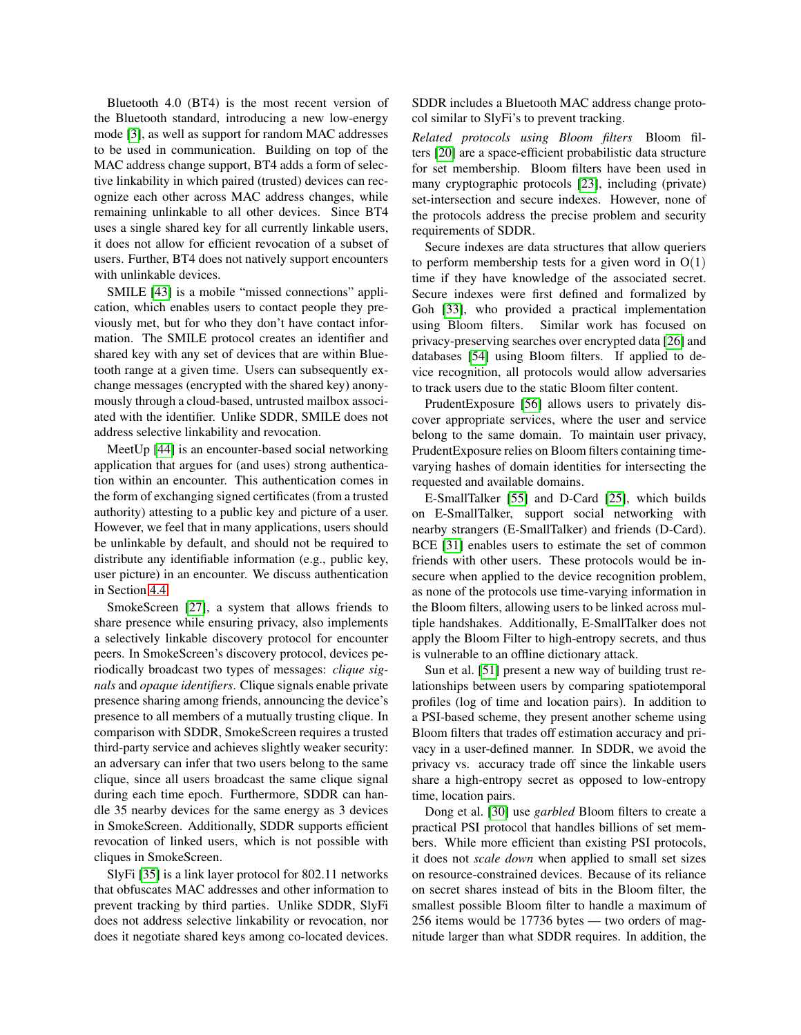Bluetooth 4.0 (BT4) is the most recent version of the Bluetooth standard, introducing a new low-energy mode [\[3\]](#page-12-18), as well as support for random MAC addresses to be used in communication. Building on top of the MAC address change support, BT4 adds a form of selective linkability in which paired (trusted) devices can recognize each other across MAC address changes, while remaining unlinkable to all other devices. Since BT4 uses a single shared key for all currently linkable users, it does not allow for efficient revocation of a subset of users. Further, BT4 does not natively support encounters with unlinkable devices.

SMILE [\[43\]](#page-12-4) is a mobile "missed connections" application, which enables users to contact people they previously met, but for who they don't have contact information. The SMILE protocol creates an identifier and shared key with any set of devices that are within Bluetooth range at a given time. Users can subsequently exchange messages (encrypted with the shared key) anonymously through a cloud-based, untrusted mailbox associated with the identifier. Unlike SDDR, SMILE does not address selective linkability and revocation.

MeetUp [\[44\]](#page-12-19) is an encounter-based social networking application that argues for (and uses) strong authentication within an encounter. This authentication comes in the form of exchanging signed certificates (from a trusted authority) attesting to a public key and picture of a user. However, we feel that in many applications, users should be unlinkable by default, and should not be required to distribute any identifiable information (e.g., public key, user picture) in an encounter. We discuss authentication in Section [4.4.](#page-6-1)

SmokeScreen [\[27\]](#page-12-5), a system that allows friends to share presence while ensuring privacy, also implements a selectively linkable discovery protocol for encounter peers. In SmokeScreen's discovery protocol, devices periodically broadcast two types of messages: *clique signals* and *opaque identifiers*. Clique signals enable private presence sharing among friends, announcing the device's presence to all members of a mutually trusting clique. In comparison with SDDR, SmokeScreen requires a trusted third-party service and achieves slightly weaker security: an adversary can infer that two users belong to the same clique, since all users broadcast the same clique signal during each time epoch. Furthermore, SDDR can handle 35 nearby devices for the same energy as 3 devices in SmokeScreen. Additionally, SDDR supports efficient revocation of linked users, which is not possible with cliques in SmokeScreen.

SlyFi [\[35\]](#page-12-16) is a link layer protocol for 802.11 networks that obfuscates MAC addresses and other information to prevent tracking by third parties. Unlike SDDR, SlyFi does not address selective linkability or revocation, nor does it negotiate shared keys among co-located devices. SDDR includes a Bluetooth MAC address change protocol similar to SlyFi's to prevent tracking.

*Related protocols using Bloom filters* Bloom filters [\[20\]](#page-12-20) are a space-efficient probabilistic data structure for set membership. Bloom filters have been used in many cryptographic protocols [\[23\]](#page-12-21), including (private) set-intersection and secure indexes. However, none of the protocols address the precise problem and security requirements of SDDR.

Secure indexes are data structures that allow queriers to perform membership tests for a given word in  $O(1)$ time if they have knowledge of the associated secret. Secure indexes were first defined and formalized by Goh [\[33\]](#page-12-22), who provided a practical implementation using Bloom filters. Similar work has focused on privacy-preserving searches over encrypted data [\[26\]](#page-12-23) and databases [\[54\]](#page-13-2) using Bloom filters. If applied to device recognition, all protocols would allow adversaries to track users due to the static Bloom filter content.

PrudentExposure [\[56\]](#page-13-3) allows users to privately discover appropriate services, where the user and service belong to the same domain. To maintain user privacy, PrudentExposure relies on Bloom filters containing timevarying hashes of domain identities for intersecting the requested and available domains.

E-SmallTalker [\[55\]](#page-13-4) and D-Card [\[25\]](#page-12-24), which builds on E-SmallTalker, support social networking with nearby strangers (E-SmallTalker) and friends (D-Card). BCE [\[31\]](#page-12-25) enables users to estimate the set of common friends with other users. These protocols would be insecure when applied to the device recognition problem, as none of the protocols use time-varying information in the Bloom filters, allowing users to be linked across multiple handshakes. Additionally, E-SmallTalker does not apply the Bloom Filter to high-entropy secrets, and thus is vulnerable to an offline dictionary attack.

Sun et al. [\[51\]](#page-13-5) present a new way of building trust relationships between users by comparing spatiotemporal profiles (log of time and location pairs). In addition to a PSI-based scheme, they present another scheme using Bloom filters that trades off estimation accuracy and privacy in a user-defined manner. In SDDR, we avoid the privacy vs. accuracy trade off since the linkable users share a high-entropy secret as opposed to low-entropy time, location pairs.

Dong et al. [\[30\]](#page-12-26) use *garbled* Bloom filters to create a practical PSI protocol that handles billions of set members. While more efficient than existing PSI protocols, it does not *scale down* when applied to small set sizes on resource-constrained devices. Because of its reliance on secret shares instead of bits in the Bloom filter, the smallest possible Bloom filter to handle a maximum of 256 items would be 17736 bytes — two orders of magnitude larger than what SDDR requires. In addition, the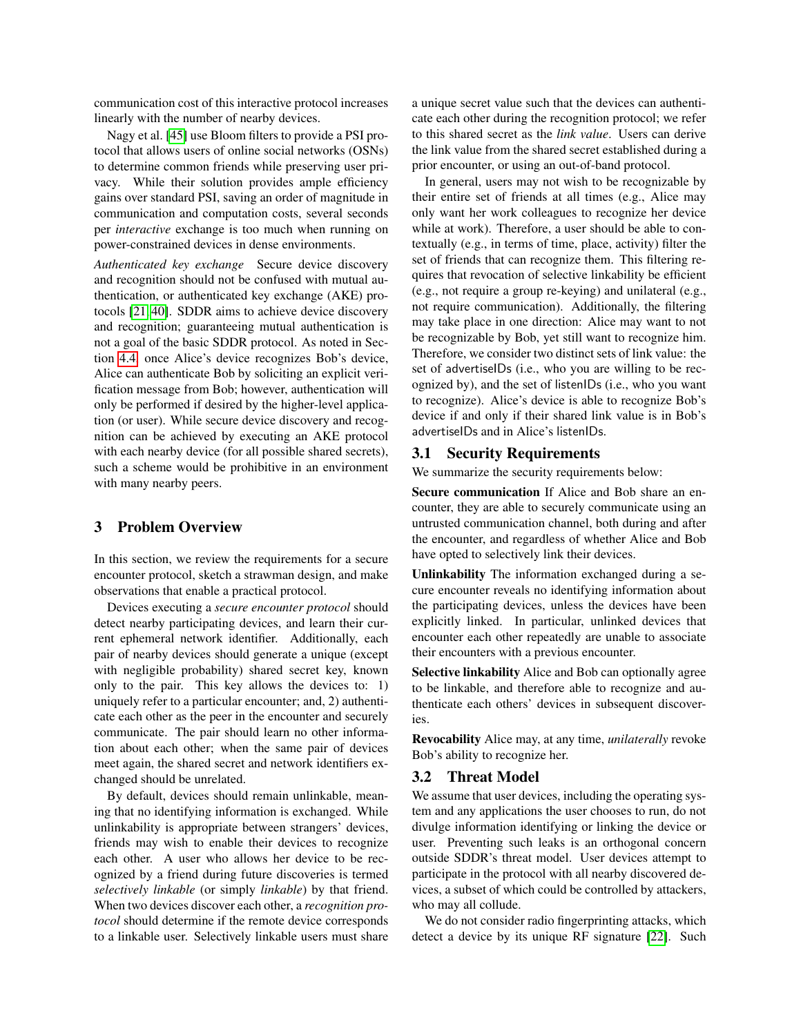communication cost of this interactive protocol increases linearly with the number of nearby devices.

Nagy et al. [\[45\]](#page-12-27) use Bloom filters to provide a PSI protocol that allows users of online social networks (OSNs) to determine common friends while preserving user privacy. While their solution provides ample efficiency gains over standard PSI, saving an order of magnitude in communication and computation costs, several seconds per *interactive* exchange is too much when running on power-constrained devices in dense environments.

*Authenticated key exchange* Secure device discovery and recognition should not be confused with mutual authentication, or authenticated key exchange (AKE) protocols [\[21,](#page-12-28) [40\]](#page-12-29). SDDR aims to achieve device discovery and recognition; guaranteeing mutual authentication is not a goal of the basic SDDR protocol. As noted in Section [4.4,](#page-6-1) once Alice's device recognizes Bob's device, Alice can authenticate Bob by soliciting an explicit verification message from Bob; however, authentication will only be performed if desired by the higher-level application (or user). While secure device discovery and recognition can be achieved by executing an AKE protocol with each nearby device (for all possible shared secrets), such a scheme would be prohibitive in an environment with many nearby peers.

#### <span id="page-3-0"></span>3 Problem Overview

In this section, we review the requirements for a secure encounter protocol, sketch a strawman design, and make observations that enable a practical protocol.

Devices executing a *secure encounter protocol* should detect nearby participating devices, and learn their current ephemeral network identifier. Additionally, each pair of nearby devices should generate a unique (except with negligible probability) shared secret key, known only to the pair. This key allows the devices to: 1) uniquely refer to a particular encounter; and, 2) authenticate each other as the peer in the encounter and securely communicate. The pair should learn no other information about each other; when the same pair of devices meet again, the shared secret and network identifiers exchanged should be unrelated.

By default, devices should remain unlinkable, meaning that no identifying information is exchanged. While unlinkability is appropriate between strangers' devices, friends may wish to enable their devices to recognize each other. A user who allows her device to be recognized by a friend during future discoveries is termed *selectively linkable* (or simply *linkable*) by that friend. When two devices discover each other, a *recognition protocol* should determine if the remote device corresponds to a linkable user. Selectively linkable users must share a unique secret value such that the devices can authenticate each other during the recognition protocol; we refer to this shared secret as the *link value*. Users can derive the link value from the shared secret established during a prior encounter, or using an out-of-band protocol.

In general, users may not wish to be recognizable by their entire set of friends at all times (e.g., Alice may only want her work colleagues to recognize her device while at work). Therefore, a user should be able to contextually (e.g., in terms of time, place, activity) filter the set of friends that can recognize them. This filtering requires that revocation of selective linkability be efficient (e.g., not require a group re-keying) and unilateral (e.g., not require communication). Additionally, the filtering may take place in one direction: Alice may want to not be recognizable by Bob, yet still want to recognize him. Therefore, we consider two distinct sets of link value: the set of advertiseIDs (i.e., who you are willing to be recognized by), and the set of listenIDs (i.e., who you want to recognize). Alice's device is able to recognize Bob's device if and only if their shared link value is in Bob's advertiseIDs and in Alice's listenIDs.

#### <span id="page-3-1"></span>3.1 Security Requirements

We summarize the security requirements below:

Secure communication If Alice and Bob share an encounter, they are able to securely communicate using an untrusted communication channel, both during and after the encounter, and regardless of whether Alice and Bob have opted to selectively link their devices.

Unlinkability The information exchanged during a secure encounter reveals no identifying information about the participating devices, unless the devices have been explicitly linked. In particular, unlinked devices that encounter each other repeatedly are unable to associate their encounters with a previous encounter.

Selective linkability Alice and Bob can optionally agree to be linkable, and therefore able to recognize and authenticate each others' devices in subsequent discoveries.

Revocability Alice may, at any time, *unilaterally* revoke Bob's ability to recognize her.

## 3.2 Threat Model

We assume that user devices, including the operating system and any applications the user chooses to run, do not divulge information identifying or linking the device or user. Preventing such leaks is an orthogonal concern outside SDDR's threat model. User devices attempt to participate in the protocol with all nearby discovered devices, a subset of which could be controlled by attackers, who may all collude.

We do not consider radio fingerprinting attacks, which detect a device by its unique RF signature [\[22\]](#page-12-30). Such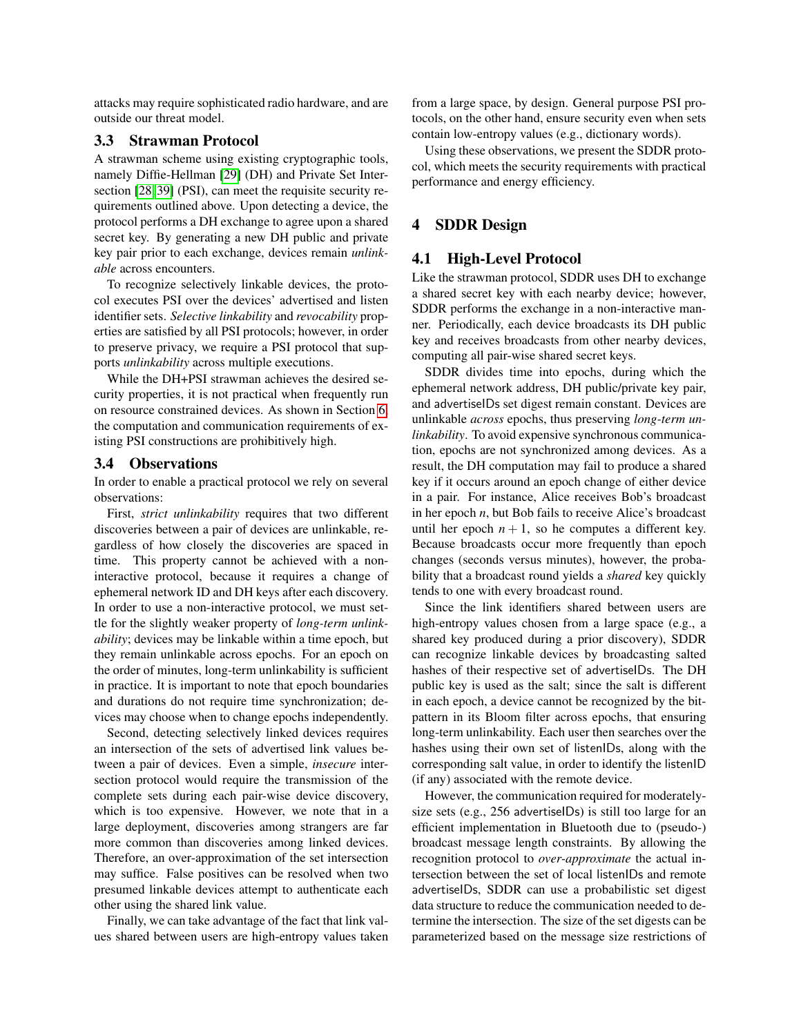attacks may require sophisticated radio hardware, and are outside our threat model.

#### 3.3 Strawman Protocol

A strawman scheme using existing cryptographic tools, namely Diffie-Hellman [\[29\]](#page-12-31) (DH) and Private Set Intersection [\[28,](#page-12-32) [39\]](#page-12-33) (PSI), can meet the requisite security requirements outlined above. Upon detecting a device, the protocol performs a DH exchange to agree upon a shared secret key. By generating a new DH public and private key pair prior to each exchange, devices remain *unlinkable* across encounters.

To recognize selectively linkable devices, the protocol executes PSI over the devices' advertised and listen identifier sets. *Selective linkability* and *revocability* properties are satisfied by all PSI protocols; however, in order to preserve privacy, we require a PSI protocol that supports *unlinkability* across multiple executions.

While the DH+PSI strawman achieves the desired security properties, it is not practical when frequently run on resource constrained devices. As shown in Section [6,](#page-8-0) the computation and communication requirements of existing PSI constructions are prohibitively high.

#### 3.4 Observations

In order to enable a practical protocol we rely on several observations:

First, *strict unlinkability* requires that two different discoveries between a pair of devices are unlinkable, regardless of how closely the discoveries are spaced in time. This property cannot be achieved with a noninteractive protocol, because it requires a change of ephemeral network ID and DH keys after each discovery. In order to use a non-interactive protocol, we must settle for the slightly weaker property of *long-term unlinkability*; devices may be linkable within a time epoch, but they remain unlinkable across epochs. For an epoch on the order of minutes, long-term unlinkability is sufficient in practice. It is important to note that epoch boundaries and durations do not require time synchronization; devices may choose when to change epochs independently.

Second, detecting selectively linked devices requires an intersection of the sets of advertised link values between a pair of devices. Even a simple, *insecure* intersection protocol would require the transmission of the complete sets during each pair-wise device discovery, which is too expensive. However, we note that in a large deployment, discoveries among strangers are far more common than discoveries among linked devices. Therefore, an over-approximation of the set intersection may suffice. False positives can be resolved when two presumed linkable devices attempt to authenticate each other using the shared link value.

Finally, we can take advantage of the fact that link values shared between users are high-entropy values taken from a large space, by design. General purpose PSI protocols, on the other hand, ensure security even when sets contain low-entropy values (e.g., dictionary words).

Using these observations, we present the SDDR protocol, which meets the security requirements with practical performance and energy efficiency.

# <span id="page-4-0"></span>4 SDDR Design

#### 4.1 High-Level Protocol

Like the strawman protocol, SDDR uses DH to exchange a shared secret key with each nearby device; however, SDDR performs the exchange in a non-interactive manner. Periodically, each device broadcasts its DH public key and receives broadcasts from other nearby devices, computing all pair-wise shared secret keys.

SDDR divides time into epochs, during which the ephemeral network address, DH public/private key pair, and advertiseIDs set digest remain constant. Devices are unlinkable *across* epochs, thus preserving *long-term unlinkability*. To avoid expensive synchronous communication, epochs are not synchronized among devices. As a result, the DH computation may fail to produce a shared key if it occurs around an epoch change of either device in a pair. For instance, Alice receives Bob's broadcast in her epoch *n*, but Bob fails to receive Alice's broadcast until her epoch  $n + 1$ , so he computes a different key. Because broadcasts occur more frequently than epoch changes (seconds versus minutes), however, the probability that a broadcast round yields a *shared* key quickly tends to one with every broadcast round.

Since the link identifiers shared between users are high-entropy values chosen from a large space (e.g., a shared key produced during a prior discovery), SDDR can recognize linkable devices by broadcasting salted hashes of their respective set of advertiseIDs. The DH public key is used as the salt; since the salt is different in each epoch, a device cannot be recognized by the bitpattern in its Bloom filter across epochs, that ensuring long-term unlinkability. Each user then searches over the hashes using their own set of listenIDs, along with the corresponding salt value, in order to identify the listenID (if any) associated with the remote device.

However, the communication required for moderatelysize sets (e.g., 256 advertiseIDs) is still too large for an efficient implementation in Bluetooth due to (pseudo-) broadcast message length constraints. By allowing the recognition protocol to *over-approximate* the actual intersection between the set of local listenIDs and remote advertiseIDs, SDDR can use a probabilistic set digest data structure to reduce the communication needed to determine the intersection. The size of the set digests can be parameterized based on the message size restrictions of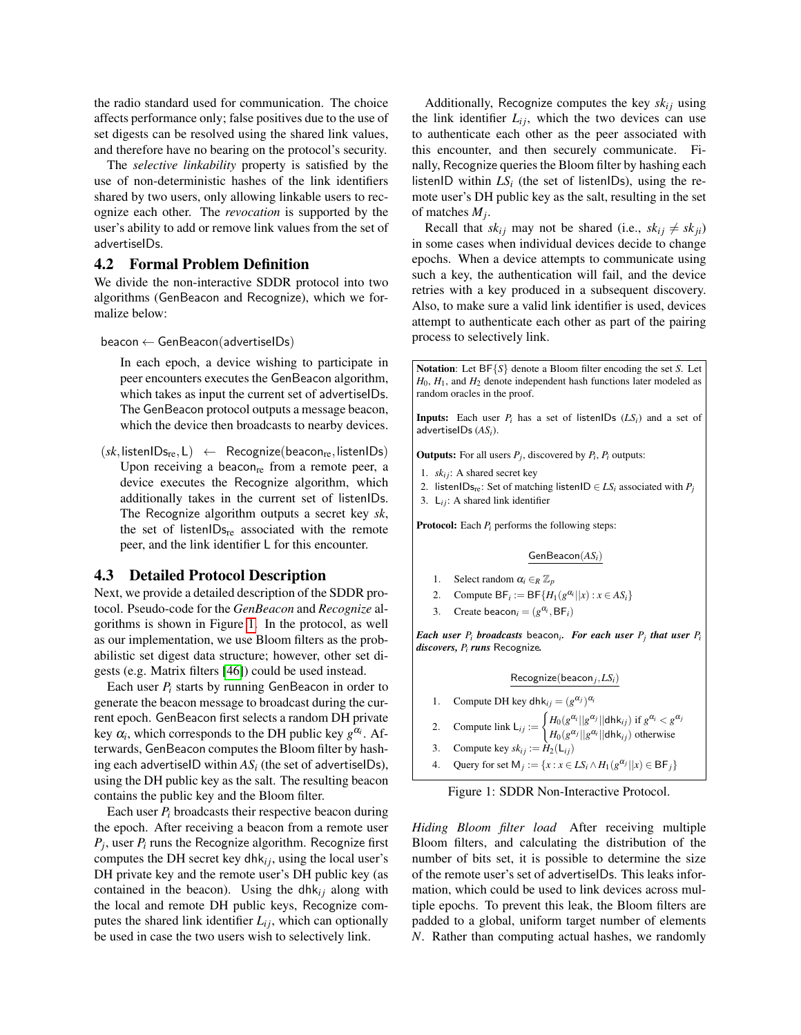the radio standard used for communication. The choice affects performance only; false positives due to the use of set digests can be resolved using the shared link values, and therefore have no bearing on the protocol's security.

The *selective linkability* property is satisfied by the use of non-deterministic hashes of the link identifiers shared by two users, only allowing linkable users to recognize each other. The *revocation* is supported by the user's ability to add or remove link values from the set of advertiseIDs.

#### 4.2 Formal Problem Definition

We divide the non-interactive SDDR protocol into two algorithms (GenBeacon and Recognize), which we formalize below:

#### $beacon \leftarrow GenBeacon(advertiselDs)$

In each epoch, a device wishing to participate in peer encounters executes the GenBeacon algorithm, which takes as input the current set of advertiseIDs. The GenBeacon protocol outputs a message beacon, which the device then broadcasts to nearby devices.

 $(sk,$ listenIDs<sub>re</sub>, L) ← Recognize(beacon<sub>re</sub>, listenIDs) Upon receiving a beacon $_{re}$  from a remote peer, a device executes the Recognize algorithm, which additionally takes in the current set of listenIDs. The Recognize algorithm outputs a secret key *sk*, the set of listen $\text{IDs}_{\text{re}}$  associated with the remote peer, and the link identifier L for this encounter.

#### 4.3 Detailed Protocol Description

Next, we provide a detailed description of the SDDR protocol. Pseudo-code for the *GenBeacon* and *Recognize* algorithms is shown in Figure [1.](#page-5-0) In the protocol, as well as our implementation, we use Bloom filters as the probabilistic set digest data structure; however, other set digests (e.g. Matrix filters [\[46\]](#page-12-34)) could be used instead.

Each user  $P_i$  starts by running GenBeacon in order to generate the beacon message to broadcast during the current epoch. GenBeacon first selects a random DH private key  $\alpha_i$ , which corresponds to the DH public key  $g^{\alpha_i}$ . Afterwards, GenBeacon computes the Bloom filter by hashing each advertiseID within  $AS_i$  (the set of advertiseIDs), using the DH public key as the salt. The resulting beacon contains the public key and the Bloom filter.

Each user  $P_i$  broadcasts their respective beacon during the epoch. After receiving a beacon from a remote user *Pj* , user *P<sup>i</sup>* runs the Recognize algorithm. Recognize first computes the DH secret key dhk<sub>i</sub>, using the local user's DH private key and the remote user's DH public key (as contained in the beacon). Using the dh $k_{ij}$  along with the local and remote DH public keys, Recognize computes the shared link identifier  $L_{ij}$ , which can optionally be used in case the two users wish to selectively link.

Additionally, Recognize computes the key  $sk_{ij}$  using the link identifier  $L_{ij}$ , which the two devices can use to authenticate each other as the peer associated with this encounter, and then securely communicate. Finally, Recognize queries the Bloom filter by hashing each listenID within  $LS<sub>i</sub>$  (the set of listenIDs), using the remote user's DH public key as the salt, resulting in the set of matches *M<sup>j</sup>* .

Recall that  $sk_{ij}$  may not be shared (i.e.,  $sk_{ij} \neq sk_{ji}$ ) in some cases when individual devices decide to change epochs. When a device attempts to communicate using such a key, the authentication will fail, and the device retries with a key produced in a subsequent discovery. Also, to make sure a valid link identifier is used, devices attempt to authenticate each other as part of the pairing process to selectively link.

<span id="page-5-0"></span>Notation: Let BF{*S*} denote a Bloom filter encoding the set *S*. Let  $H_0$ ,  $H_1$ , and  $H_2$  denote independent hash functions later modeled as random oracles in the proof.

**Inputs:** Each user  $P_i$  has a set of listenIDs  $(LS_i)$  and a set of advertiseIDs (*ASi*).

**Outputs:** For all users  $P_j$ , discovered by  $P_i$ ,  $P_i$  outputs:

- 1. *ski j*: A shared secret key
- 2. listenIDs<sub>re</sub>: Set of matching listenID  $\in LS_i$  associated with  $P_i$
- 3. L*i j*: A shared link identifier

Protocol: Each *P<sup>i</sup>* performs the following steps:

#### GenBeacon(*ASi*)

- 1. Select random  $\alpha_i \in_R \mathbb{Z}_p$
- 2. Compute  $BF_i := BF\{H_1(g^{\alpha_i}||x) : x \in AS_i\}$
- 3. Create beacon<sub>*i*</sub> =  $(g^{\alpha_i}, BF_i)$

*Each user P<sup>i</sup> broadcasts* beacon*<sup>i</sup> . For each user P<sup>j</sup> that user P<sup>i</sup> discovers, P<sup>i</sup> runs* Recognize*.*

#### Recognize(beacon*<sup>j</sup>* ,*LSi*)

- 1. Compute DH key dhk<sub>ij</sub> =  $(g^{\alpha_j})^{\alpha_i}$
- 2. Compute link  $L_{ij} := \begin{cases} H_0(g^{\alpha_i}||g^{\alpha_j}||\text{dhk}_{ij}) \text{ if } g^{\alpha_i} < g^{\alpha_j} \end{cases}$
- $H_0(g^{\alpha_j}||g^{\alpha_i}||\text{dhk}_{ij})$  otherwise
- 3. Compute key  $sk_{ij} := \hat{H}_2(\mathsf{L}_{ij})$
- 4. Query for set  $M_j := \{x : x \in LS_i \wedge H_1(g^{\alpha_j}||x) \in BF_j\}$

Figure 1: SDDR Non-Interactive Protocol.

*Hiding Bloom filter load* After receiving multiple Bloom filters, and calculating the distribution of the number of bits set, it is possible to determine the size of the remote user's set of advertiseIDs. This leaks information, which could be used to link devices across multiple epochs. To prevent this leak, the Bloom filters are padded to a global, uniform target number of elements *N*. Rather than computing actual hashes, we randomly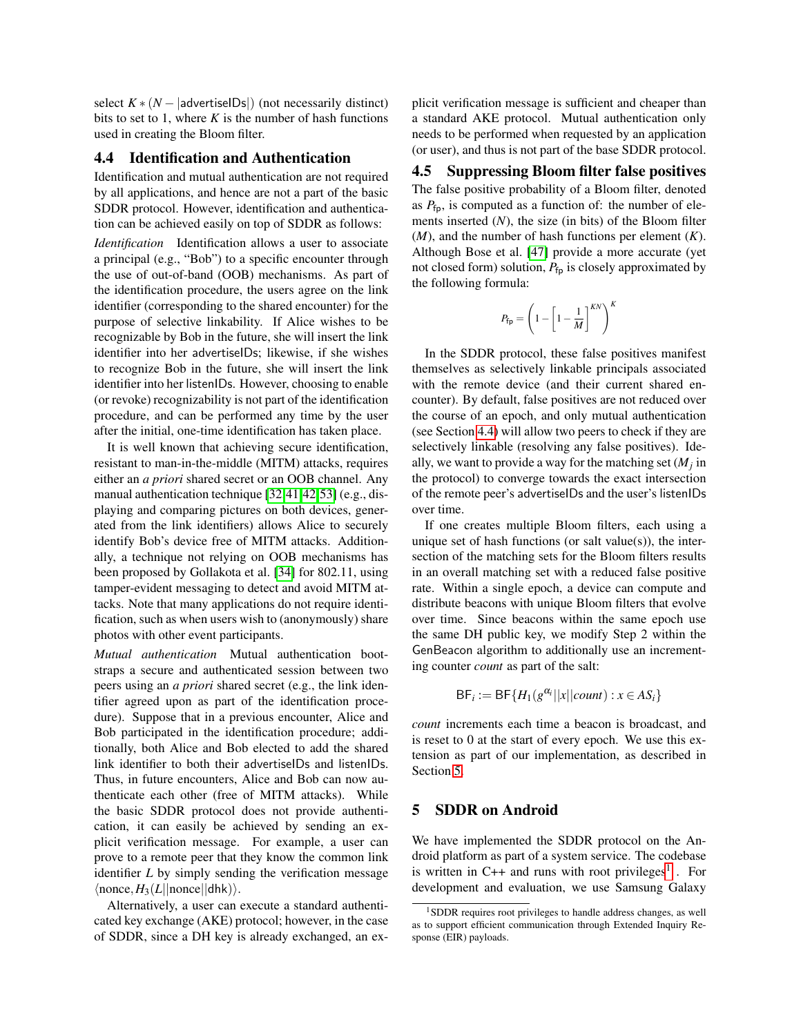select  $K * (N - |advert)$  (not necessarily distinct) bits to set to 1, where  $K$  is the number of hash functions used in creating the Bloom filter.

#### <span id="page-6-1"></span>4.4 Identification and Authentication

Identification and mutual authentication are not required by all applications, and hence are not a part of the basic SDDR protocol. However, identification and authentication can be achieved easily on top of SDDR as follows:

*Identification* Identification allows a user to associate a principal (e.g., "Bob") to a specific encounter through the use of out-of-band (OOB) mechanisms. As part of the identification procedure, the users agree on the link identifier (corresponding to the shared encounter) for the purpose of selective linkability. If Alice wishes to be recognizable by Bob in the future, she will insert the link identifier into her advertiseIDs; likewise, if she wishes to recognize Bob in the future, she will insert the link identifier into her listenIDs. However, choosing to enable (or revoke) recognizability is not part of the identification procedure, and can be performed any time by the user after the initial, one-time identification has taken place.

It is well known that achieving secure identification, resistant to man-in-the-middle (MITM) attacks, requires either an *a priori* shared secret or an OOB channel. Any manual authentication technique [\[32,](#page-12-35)[41,](#page-12-36)[42,](#page-12-37)[53\]](#page-13-6) (e.g., displaying and comparing pictures on both devices, generated from the link identifiers) allows Alice to securely identify Bob's device free of MITM attacks. Additionally, a technique not relying on OOB mechanisms has been proposed by Gollakota et al. [\[34\]](#page-12-38) for 802.11, using tamper-evident messaging to detect and avoid MITM attacks. Note that many applications do not require identification, such as when users wish to (anonymously) share photos with other event participants.

*Mutual authentication* Mutual authentication bootstraps a secure and authenticated session between two peers using an *a priori* shared secret (e.g., the link identifier agreed upon as part of the identification procedure). Suppose that in a previous encounter, Alice and Bob participated in the identification procedure; additionally, both Alice and Bob elected to add the shared link identifier to both their advertiseIDs and listenIDs. Thus, in future encounters, Alice and Bob can now authenticate each other (free of MITM attacks). While the basic SDDR protocol does not provide authentication, it can easily be achieved by sending an explicit verification message. For example, a user can prove to a remote peer that they know the common link identifier *L* by simply sending the verification message  $\langle$ nonce,  $H_3(L||$ nonce $||$ dhk $)\rangle$ .

Alternatively, a user can execute a standard authenticated key exchange (AKE) protocol; however, in the case of SDDR, since a DH key is already exchanged, an explicit verification message is sufficient and cheaper than a standard AKE protocol. Mutual authentication only needs to be performed when requested by an application (or user), and thus is not part of the base SDDR protocol.

<span id="page-6-3"></span>4.5 Suppressing Bloom filter false positives The false positive probability of a Bloom filter, denoted as  $P_{\text{fp}}$ , is computed as a function of: the number of elements inserted (*N*), the size (in bits) of the Bloom filter (*M*), and the number of hash functions per element (*K*). Although Bose et al. [\[47\]](#page-12-39) provide a more accurate (yet not closed form) solution,  $P_{\text{fn}}$  is closely approximated by the following formula:

$$
P_{\text{fp}} = \left(1 - \left[1 - \frac{1}{M}\right]^{KN}\right)^K
$$

In the SDDR protocol, these false positives manifest themselves as selectively linkable principals associated with the remote device (and their current shared encounter). By default, false positives are not reduced over the course of an epoch, and only mutual authentication (see Section [4.4\)](#page-6-1) will allow two peers to check if they are selectively linkable (resolving any false positives). Ideally, we want to provide a way for the matching set  $(M_j)$  in the protocol) to converge towards the exact intersection of the remote peer's advertiseIDs and the user's listenIDs over time.

If one creates multiple Bloom filters, each using a unique set of hash functions (or salt value $(s)$ ), the intersection of the matching sets for the Bloom filters results in an overall matching set with a reduced false positive rate. Within a single epoch, a device can compute and distribute beacons with unique Bloom filters that evolve over time. Since beacons within the same epoch use the same DH public key, we modify Step 2 within the GenBeacon algorithm to additionally use an incrementing counter *count* as part of the salt:

$$
\mathsf{BF}_i := \mathsf{BF}\{H_1(g^{\alpha_i}||x||count) : x \in \mathsf{AS}_i\}
$$

*count* increments each time a beacon is broadcast, and is reset to 0 at the start of every epoch. We use this extension as part of our implementation, as described in Section [5.](#page-6-0)

## <span id="page-6-0"></span>5 SDDR on Android

We have implemented the SDDR protocol on the Android platform as part of a system service. The codebase is written in C++ and runs with root privileges<sup>[1](#page-6-2)</sup>. For development and evaluation, we use Samsung Galaxy

<span id="page-6-2"></span><sup>1</sup>SDDR requires root privileges to handle address changes, as well as to support efficient communication through Extended Inquiry Response (EIR) payloads.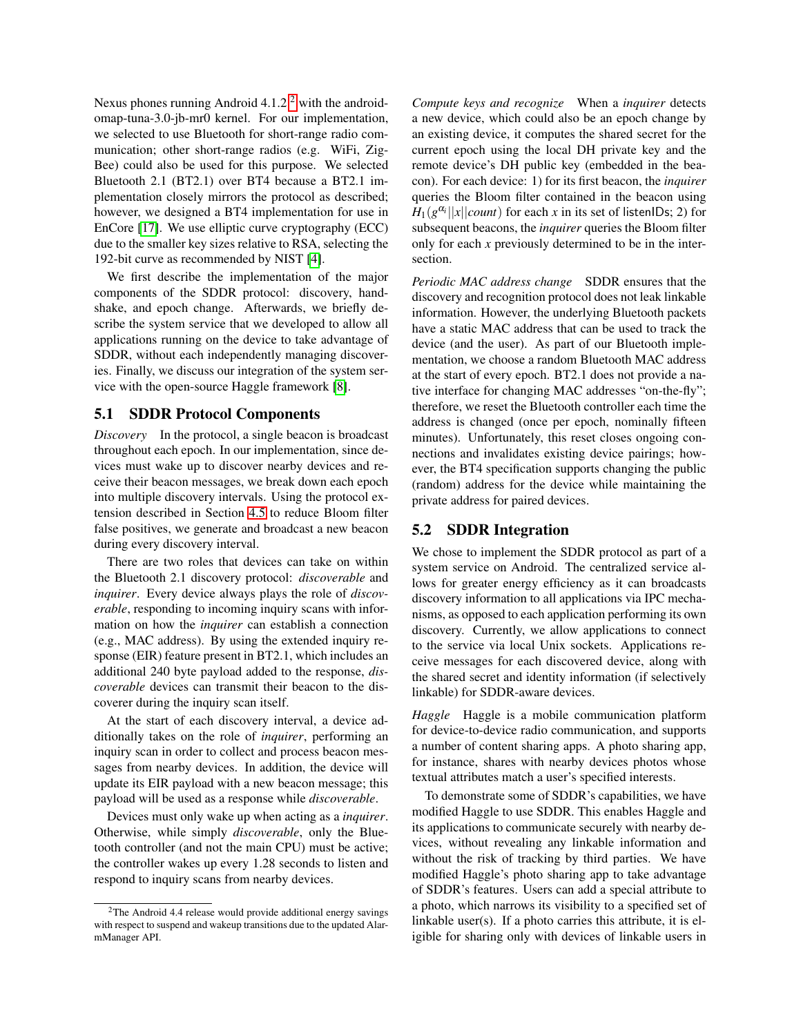Nexus phones running Android 4.1.[2](#page-7-0)<sup>2</sup> with the androidomap-tuna-3.0-jb-mr0 kernel. For our implementation, we selected to use Bluetooth for short-range radio communication; other short-range radios (e.g. WiFi, Zig-Bee) could also be used for this purpose. We selected Bluetooth 2.1 (BT2.1) over BT4 because a BT2.1 implementation closely mirrors the protocol as described; however, we designed a BT4 implementation for use in EnCore [\[17\]](#page-12-40). We use elliptic curve cryptography (ECC) due to the smaller key sizes relative to RSA, selecting the 192-bit curve as recommended by NIST [\[4\]](#page-12-41).

We first describe the implementation of the major components of the SDDR protocol: discovery, handshake, and epoch change. Afterwards, we briefly describe the system service that we developed to allow all applications running on the device to take advantage of SDDR, without each independently managing discoveries. Finally, we discuss our integration of the system service with the open-source Haggle framework [\[8\]](#page-12-42).

#### 5.1 SDDR Protocol Components

*Discovery* In the protocol, a single beacon is broadcast throughout each epoch. In our implementation, since devices must wake up to discover nearby devices and receive their beacon messages, we break down each epoch into multiple discovery intervals. Using the protocol extension described in Section [4.5](#page-6-3) to reduce Bloom filter false positives, we generate and broadcast a new beacon during every discovery interval.

There are two roles that devices can take on within the Bluetooth 2.1 discovery protocol: *discoverable* and *inquirer*. Every device always plays the role of *discoverable*, responding to incoming inquiry scans with information on how the *inquirer* can establish a connection (e.g., MAC address). By using the extended inquiry response (EIR) feature present in BT2.1, which includes an additional 240 byte payload added to the response, *discoverable* devices can transmit their beacon to the discoverer during the inquiry scan itself.

At the start of each discovery interval, a device additionally takes on the role of *inquirer*, performing an inquiry scan in order to collect and process beacon messages from nearby devices. In addition, the device will update its EIR payload with a new beacon message; this payload will be used as a response while *discoverable*.

Devices must only wake up when acting as a *inquirer*. Otherwise, while simply *discoverable*, only the Bluetooth controller (and not the main CPU) must be active; the controller wakes up every 1.28 seconds to listen and respond to inquiry scans from nearby devices.

*Compute keys and recognize* When a *inquirer* detects a new device, which could also be an epoch change by an existing device, it computes the shared secret for the current epoch using the local DH private key and the remote device's DH public key (embedded in the beacon). For each device: 1) for its first beacon, the *inquirer* queries the Bloom filter contained in the beacon using  $H_1(g^{\alpha_i}||x||count)$  for each *x* in its set of listenIDs; 2) for subsequent beacons, the *inquirer* queries the Bloom filter only for each *x* previously determined to be in the intersection.

*Periodic MAC address change* SDDR ensures that the discovery and recognition protocol does not leak linkable information. However, the underlying Bluetooth packets have a static MAC address that can be used to track the device (and the user). As part of our Bluetooth implementation, we choose a random Bluetooth MAC address at the start of every epoch. BT2.1 does not provide a native interface for changing MAC addresses "on-the-fly"; therefore, we reset the Bluetooth controller each time the address is changed (once per epoch, nominally fifteen minutes). Unfortunately, this reset closes ongoing connections and invalidates existing device pairings; however, the BT4 specification supports changing the public (random) address for the device while maintaining the private address for paired devices.

#### 5.2 SDDR Integration

We chose to implement the SDDR protocol as part of a system service on Android. The centralized service allows for greater energy efficiency as it can broadcasts discovery information to all applications via IPC mechanisms, as opposed to each application performing its own discovery. Currently, we allow applications to connect to the service via local Unix sockets. Applications receive messages for each discovered device, along with the shared secret and identity information (if selectively linkable) for SDDR-aware devices.

*Haggle* Haggle is a mobile communication platform for device-to-device radio communication, and supports a number of content sharing apps. A photo sharing app, for instance, shares with nearby devices photos whose textual attributes match a user's specified interests.

To demonstrate some of SDDR's capabilities, we have modified Haggle to use SDDR. This enables Haggle and its applications to communicate securely with nearby devices, without revealing any linkable information and without the risk of tracking by third parties. We have modified Haggle's photo sharing app to take advantage of SDDR's features. Users can add a special attribute to a photo, which narrows its visibility to a specified set of linkable user(s). If a photo carries this attribute, it is eligible for sharing only with devices of linkable users in

<span id="page-7-0"></span><sup>2</sup>The Android 4.4 release would provide additional energy savings with respect to suspend and wakeup transitions due to the updated AlarmManager API.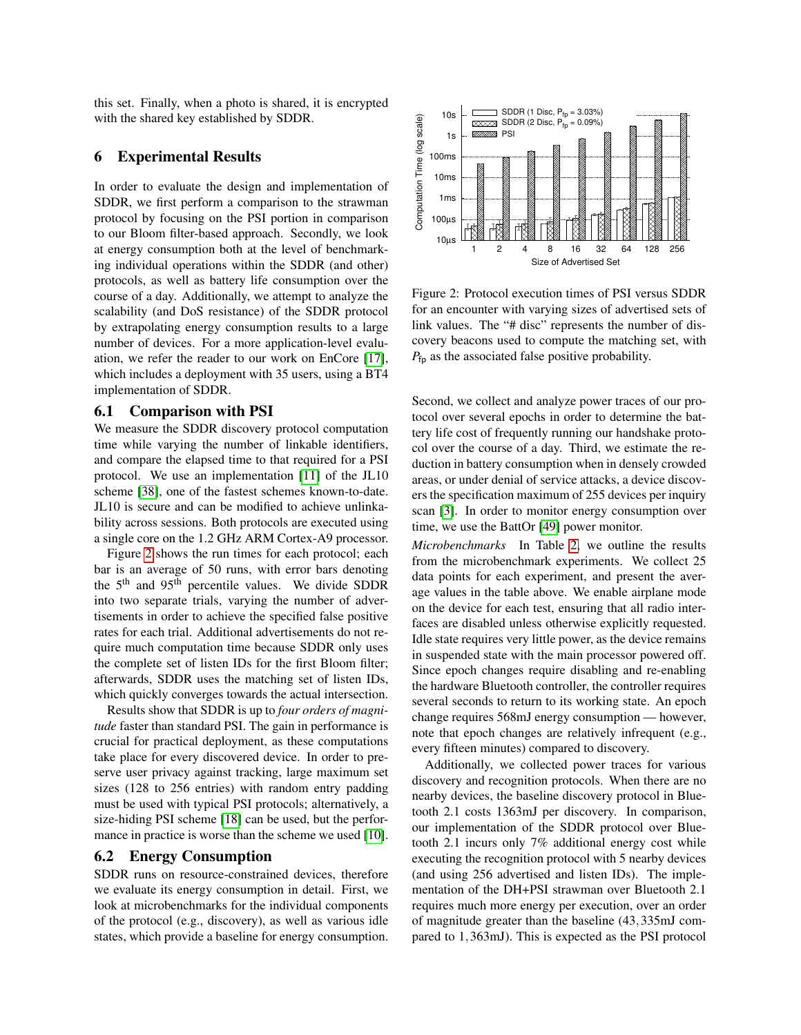this set. Finally, when a photo is shared, it is encrypted with the shared key established by SDDR.

## <span id="page-8-0"></span>6 Experimental Results

In order to evaluate the design and implementation of SDDR, we first perform a comparison to the strawman protocol by focusing on the PSI portion in comparison to our Bloom filter-based approach. Secondly, we look at energy consumption both at the level of benchmarking individual operations within the SDDR (and other) protocols, as well as battery life consumption over the course of a day. Additionally, we attempt to analyze the scalability (and DoS resistance) of the SDDR protocol by extrapolating energy consumption results to a large number of devices. For a more application-level evaluation, we refer the reader to our work on EnCore [\[17\]](#page-12-40), which includes a deployment with 35 users, using a BT4 implementation of SDDR.

#### 6.1 Comparison with PSI

We measure the SDDR discovery protocol computation time while varying the number of linkable identifiers, and compare the elapsed time to that required for a PSI protocol. We use an implementation [\[11\]](#page-12-43) of the JL10 scheme [\[38\]](#page-12-44), one of the fastest schemes known-to-date. JL10 is secure and can be modified to achieve unlinkability across sessions. Both protocols are executed using a single core on the 1.2 GHz ARM Cortex-A9 processor.

Figure [2](#page-8-1) shows the run times for each protocol; each bar is an average of 50 runs, with error bars denoting the  $5<sup>th</sup>$  and  $95<sup>th</sup>$  percentile values. We divide SDDR into two separate trials, varying the number of advertisements in order to achieve the specified false positive rates for each trial. Additional advertisements do not require much computation time because SDDR only uses the complete set of listen IDs for the first Bloom filter; afterwards, SDDR uses the matching set of listen IDs, which quickly converges towards the actual intersection.

Results show that SDDR is up to *four orders of magnitude* faster than standard PSI. The gain in performance is crucial for practical deployment, as these computations take place for every discovered device. In order to preserve user privacy against tracking, large maximum set sizes (128 to 256 entries) with random entry padding must be used with typical PSI protocols; alternatively, a size-hiding PSI scheme [\[18\]](#page-12-45) can be used, but the perfor-mance in practice is worse than the scheme we used [\[10\]](#page-12-46).

#### 6.2 Energy Consumption

SDDR runs on resource-constrained devices, therefore we evaluate its energy consumption in detail. First, we look at microbenchmarks for the individual components of the protocol (e.g., discovery), as well as various idle states, which provide a baseline for energy consumption.

<span id="page-8-1"></span>

Figure 2: Protocol execution times of PSI versus SDDR for an encounter with varying sizes of advertised sets of link values. The "# disc" represents the number of discovery beacons used to compute the matching set, with  $P_{\text{fp}}$  as the associated false positive probability.

Second, we collect and analyze power traces of our protocol over several epochs in order to determine the battery life cost of frequently running our handshake protocol over the course of a day. Third, we estimate the reduction in battery consumption when in densely crowded areas, or under denial of service attacks, a device discovers the specification maximum of 255 devices per inquiry scan [\[3\]](#page-12-18). In order to monitor energy consumption over time, we use the BattOr [\[49\]](#page-13-7) power monitor.

*Microbenchmarks* In Table [2,](#page-9-0) we outline the results from the microbenchmark experiments. We collect 25 data points for each experiment, and present the average values in the table above. We enable airplane mode on the device for each test, ensuring that all radio interfaces are disabled unless otherwise explicitly requested. Idle state requires very little power, as the device remains in suspended state with the main processor powered off. Since epoch changes require disabling and re-enabling the hardware Bluetooth controller, the controller requires several seconds to return to its working state. An epoch change requires 568mJ energy consumption — however, note that epoch changes are relatively infrequent (e.g., every fifteen minutes) compared to discovery.

Additionally, we collected power traces for various discovery and recognition protocols. When there are no nearby devices, the baseline discovery protocol in Bluetooth 2.1 costs 1363mJ per discovery. In comparison, our implementation of the SDDR protocol over Bluetooth 2.1 incurs only 7% additional energy cost while executing the recognition protocol with 5 nearby devices (and using 256 advertised and listen IDs). The implementation of the DH+PSI strawman over Bluetooth 2.1 requires much more energy per execution, over an order of magnitude greater than the baseline (43,335mJ compared to 1,363mJ). This is expected as the PSI protocol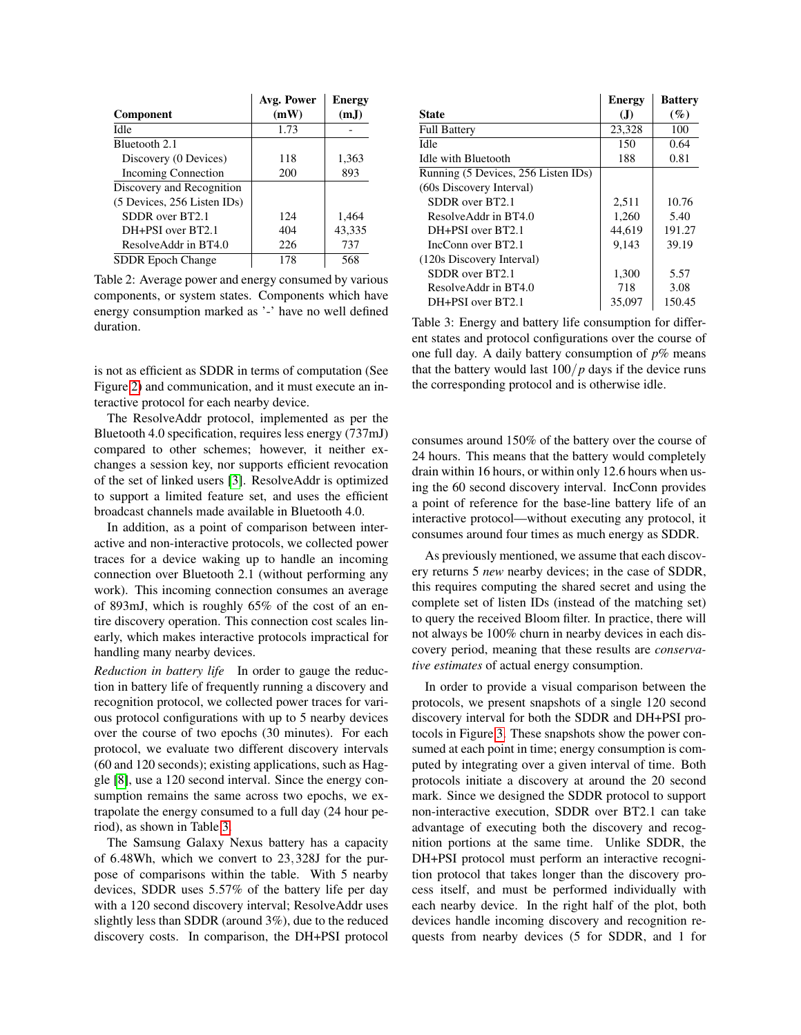<span id="page-9-0"></span>

|                             | Avg. Power | <b>Energy</b> |
|-----------------------------|------------|---------------|
| <b>Component</b>            | (mW)       | (mJ)          |
| Idle                        | 1.73       |               |
| Bluetooth 2.1               |            |               |
| Discovery (0 Devices)       | 118        | 1,363         |
| <b>Incoming Connection</b>  | 200        | 893           |
| Discovery and Recognition   |            |               |
| (5 Devices, 256 Listen IDs) |            |               |
| SDDR over BT2.1             | 124        | 1,464         |
| DH+PSI over BT2.1           | 404        | 43,335        |
| Resolve Addr in BT4.0       | 226        | 737           |
| <b>SDDR Epoch Change</b>    | 178        | 568           |

Table 2: Average power and energy consumed by various components, or system states. Components which have energy consumption marked as '-' have no well defined duration.

is not as efficient as SDDR in terms of computation (See Figure [2\)](#page-8-1) and communication, and it must execute an interactive protocol for each nearby device.

The ResolveAddr protocol, implemented as per the Bluetooth 4.0 specification, requires less energy (737mJ) compared to other schemes; however, it neither exchanges a session key, nor supports efficient revocation of the set of linked users [\[3\]](#page-12-18). ResolveAddr is optimized to support a limited feature set, and uses the efficient broadcast channels made available in Bluetooth 4.0.

In addition, as a point of comparison between interactive and non-interactive protocols, we collected power traces for a device waking up to handle an incoming connection over Bluetooth 2.1 (without performing any work). This incoming connection consumes an average of 893mJ, which is roughly 65% of the cost of an entire discovery operation. This connection cost scales linearly, which makes interactive protocols impractical for handling many nearby devices.

*Reduction in battery life* In order to gauge the reduction in battery life of frequently running a discovery and recognition protocol, we collected power traces for various protocol configurations with up to 5 nearby devices over the course of two epochs (30 minutes). For each protocol, we evaluate two different discovery intervals (60 and 120 seconds); existing applications, such as Haggle [\[8\]](#page-12-42), use a 120 second interval. Since the energy consumption remains the same across two epochs, we extrapolate the energy consumed to a full day (24 hour period), as shown in Table [3.](#page-9-1)

The Samsung Galaxy Nexus battery has a capacity of 6.48Wh, which we convert to 23,328J for the purpose of comparisons within the table. With 5 nearby devices, SDDR uses 5.57% of the battery life per day with a 120 second discovery interval; ResolveAddr uses slightly less than SDDR (around 3%), due to the reduced discovery costs. In comparison, the DH+PSI protocol

<span id="page-9-1"></span>

|                                     | <b>Energy</b> | <b>Battery</b> |
|-------------------------------------|---------------|----------------|
| <b>State</b>                        | (J)           | (%)            |
| <b>Full Battery</b>                 | 23,328        | 100            |
| Idle                                | 150           | 0.64           |
| Idle with Bluetooth                 | 188           | 0.81           |
| Running (5 Devices, 256 Listen IDs) |               |                |
| (60s Discovery Interval)            |               |                |
| SDDR over BT2.1                     | 2,511         | 10.76          |
| Resolve Addr in BT4.0               | 1.260         | 5.40           |
| DH+PSI over BT2.1                   | 44.619        | 191.27         |
| IncConn over BT2.1                  | 9.143         | 39.19          |
| (120s Discovery Interval)           |               |                |
| SDDR over BT2.1                     | 1,300         | 5.57           |
| Resolve Addr in BT4.0               | 718           | 3.08           |
| DH+PSI over BT2.1                   | 35,097        | 150.45         |

Table 3: Energy and battery life consumption for different states and protocol configurations over the course of one full day. A daily battery consumption of  $p\%$  means that the battery would last  $100/p$  days if the device runs the corresponding protocol and is otherwise idle.

consumes around 150% of the battery over the course of 24 hours. This means that the battery would completely drain within 16 hours, or within only 12.6 hours when using the 60 second discovery interval. IncConn provides a point of reference for the base-line battery life of an interactive protocol—without executing any protocol, it consumes around four times as much energy as SDDR.

As previously mentioned, we assume that each discovery returns 5 *new* nearby devices; in the case of SDDR, this requires computing the shared secret and using the complete set of listen IDs (instead of the matching set) to query the received Bloom filter. In practice, there will not always be 100% churn in nearby devices in each discovery period, meaning that these results are *conservative estimates* of actual energy consumption.

In order to provide a visual comparison between the protocols, we present snapshots of a single 120 second discovery interval for both the SDDR and DH+PSI protocols in Figure [3.](#page-10-0) These snapshots show the power consumed at each point in time; energy consumption is computed by integrating over a given interval of time. Both protocols initiate a discovery at around the 20 second mark. Since we designed the SDDR protocol to support non-interactive execution, SDDR over BT2.1 can take advantage of executing both the discovery and recognition portions at the same time. Unlike SDDR, the DH+PSI protocol must perform an interactive recognition protocol that takes longer than the discovery process itself, and must be performed individually with each nearby device. In the right half of the plot, both devices handle incoming discovery and recognition requests from nearby devices (5 for SDDR, and 1 for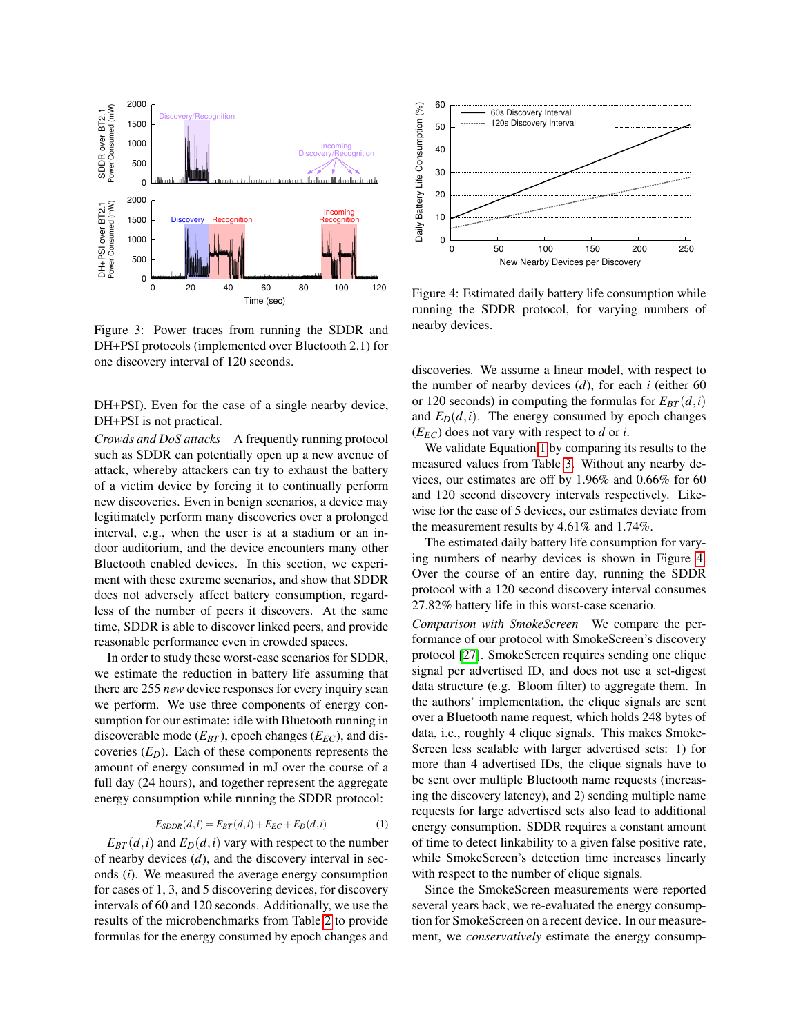<span id="page-10-0"></span>

Figure 3: Power traces from running the SDDR and DH+PSI protocols (implemented over Bluetooth 2.1) for one discovery interval of 120 seconds.

DH+PSI). Even for the case of a single nearby device, DH+PSI is not practical.

*Crowds and DoS attacks* A frequently running protocol such as SDDR can potentially open up a new avenue of attack, whereby attackers can try to exhaust the battery of a victim device by forcing it to continually perform new discoveries. Even in benign scenarios, a device may legitimately perform many discoveries over a prolonged interval, e.g., when the user is at a stadium or an indoor auditorium, and the device encounters many other Bluetooth enabled devices. In this section, we experiment with these extreme scenarios, and show that SDDR does not adversely affect battery consumption, regardless of the number of peers it discovers. At the same time, SDDR is able to discover linked peers, and provide reasonable performance even in crowded spaces.

In order to study these worst-case scenarios for SDDR, we estimate the reduction in battery life assuming that there are 255 *new* device responses for every inquiry scan we perform. We use three components of energy consumption for our estimate: idle with Bluetooth running in discoverable mode  $(E_{BT})$ , epoch changes  $(E_{EC})$ , and discoveries  $(E_D)$ . Each of these components represents the amount of energy consumed in mJ over the course of a full day (24 hours), and together represent the aggregate energy consumption while running the SDDR protocol:

$$
E_{SDDR}(d,i) = E_{BT}(d,i) + E_{EC} + E_D(d,i)
$$
\n<sup>(1)</sup>

<span id="page-10-1"></span> $E_{BT}(d,i)$  and  $E_D(d,i)$  vary with respect to the number of nearby devices (*d*), and the discovery interval in seconds (*i*). We measured the average energy consumption for cases of 1, 3, and 5 discovering devices, for discovery intervals of 60 and 120 seconds. Additionally, we use the results of the microbenchmarks from Table [2](#page-9-0) to provide formulas for the energy consumed by epoch changes and

<span id="page-10-2"></span>

Figure 4: Estimated daily battery life consumption while running the SDDR protocol, for varying numbers of nearby devices.

discoveries. We assume a linear model, with respect to the number of nearby devices (*d*), for each *i* (either 60 or 120 seconds) in computing the formulas for  $E_{BT}(d, i)$ and  $E_D(d, i)$ . The energy consumed by epoch changes  $(E_{EC})$  does not vary with respect to *d* or *i*.

We validate Equation [1](#page-10-1) by comparing its results to the measured values from Table [3.](#page-9-1) Without any nearby devices, our estimates are off by 1.96% and 0.66% for 60 and 120 second discovery intervals respectively. Likewise for the case of 5 devices, our estimates deviate from the measurement results by 4.61% and 1.74%.

The estimated daily battery life consumption for varying numbers of nearby devices is shown in Figure [4.](#page-10-2) Over the course of an entire day, running the SDDR protocol with a 120 second discovery interval consumes 27.82% battery life in this worst-case scenario.

*Comparison with SmokeScreen* We compare the performance of our protocol with SmokeScreen's discovery protocol [\[27\]](#page-12-5). SmokeScreen requires sending one clique signal per advertised ID, and does not use a set-digest data structure (e.g. Bloom filter) to aggregate them. In the authors' implementation, the clique signals are sent over a Bluetooth name request, which holds 248 bytes of data, i.e., roughly 4 clique signals. This makes Smoke-Screen less scalable with larger advertised sets: 1) for more than 4 advertised IDs, the clique signals have to be sent over multiple Bluetooth name requests (increasing the discovery latency), and 2) sending multiple name requests for large advertised sets also lead to additional energy consumption. SDDR requires a constant amount of time to detect linkability to a given false positive rate, while SmokeScreen's detection time increases linearly with respect to the number of clique signals.

Since the SmokeScreen measurements were reported several years back, we re-evaluated the energy consumption for SmokeScreen on a recent device. In our measurement, we *conservatively* estimate the energy consump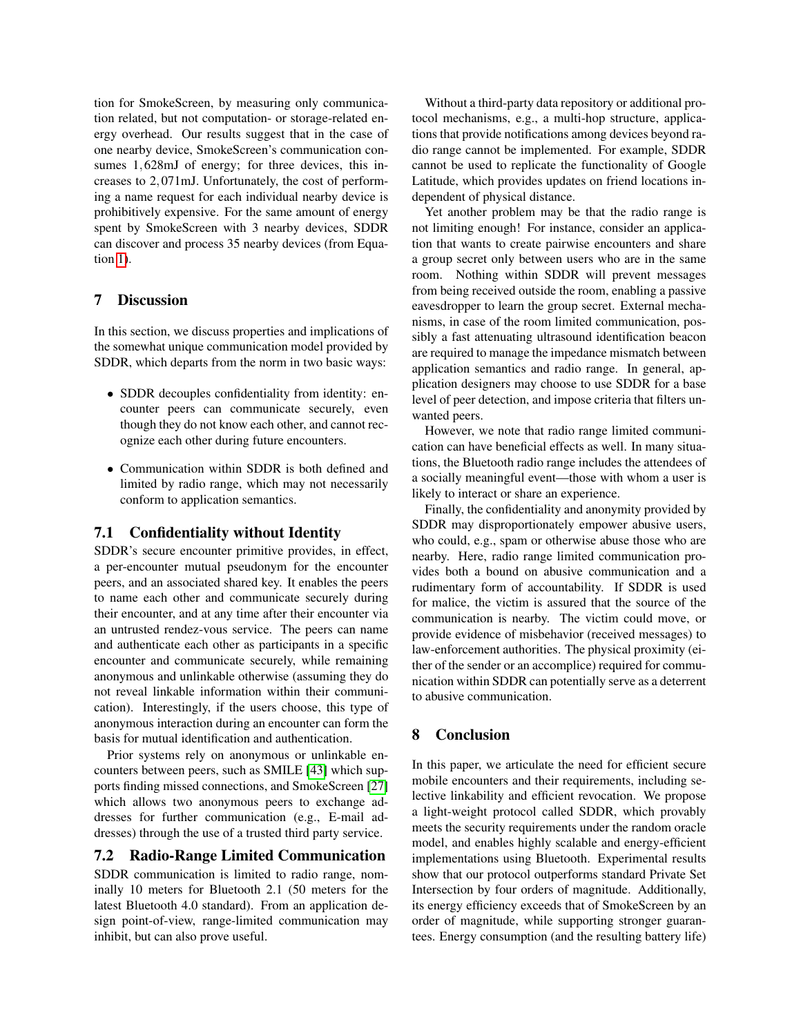tion for SmokeScreen, by measuring only communication related, but not computation- or storage-related energy overhead. Our results suggest that in the case of one nearby device, SmokeScreen's communication consumes 1,628mJ of energy; for three devices, this increases to 2,071mJ. Unfortunately, the cost of performing a name request for each individual nearby device is prohibitively expensive. For the same amount of energy spent by SmokeScreen with 3 nearby devices, SDDR can discover and process 35 nearby devices (from Equation [1\)](#page-10-1).

#### <span id="page-11-0"></span>7 Discussion

In this section, we discuss properties and implications of the somewhat unique communication model provided by SDDR, which departs from the norm in two basic ways:

- SDDR decouples confidentiality from identity: encounter peers can communicate securely, even though they do not know each other, and cannot recognize each other during future encounters.
- Communication within SDDR is both defined and limited by radio range, which may not necessarily conform to application semantics.

## 7.1 Confidentiality without Identity

SDDR's secure encounter primitive provides, in effect, a per-encounter mutual pseudonym for the encounter peers, and an associated shared key. It enables the peers to name each other and communicate securely during their encounter, and at any time after their encounter via an untrusted rendez-vous service. The peers can name and authenticate each other as participants in a specific encounter and communicate securely, while remaining anonymous and unlinkable otherwise (assuming they do not reveal linkable information within their communication). Interestingly, if the users choose, this type of anonymous interaction during an encounter can form the basis for mutual identification and authentication.

Prior systems rely on anonymous or unlinkable encounters between peers, such as SMILE [\[43\]](#page-12-4) which supports finding missed connections, and SmokeScreen [\[27\]](#page-12-5) which allows two anonymous peers to exchange addresses for further communication (e.g., E-mail addresses) through the use of a trusted third party service.

# 7.2 Radio-Range Limited Communication

SDDR communication is limited to radio range, nominally 10 meters for Bluetooth 2.1 (50 meters for the latest Bluetooth 4.0 standard). From an application design point-of-view, range-limited communication may inhibit, but can also prove useful.

Without a third-party data repository or additional protocol mechanisms, e.g., a multi-hop structure, applications that provide notifications among devices beyond radio range cannot be implemented. For example, SDDR cannot be used to replicate the functionality of Google Latitude, which provides updates on friend locations independent of physical distance.

Yet another problem may be that the radio range is not limiting enough! For instance, consider an application that wants to create pairwise encounters and share a group secret only between users who are in the same room. Nothing within SDDR will prevent messages from being received outside the room, enabling a passive eavesdropper to learn the group secret. External mechanisms, in case of the room limited communication, possibly a fast attenuating ultrasound identification beacon are required to manage the impedance mismatch between application semantics and radio range. In general, application designers may choose to use SDDR for a base level of peer detection, and impose criteria that filters unwanted peers.

However, we note that radio range limited communication can have beneficial effects as well. In many situations, the Bluetooth radio range includes the attendees of a socially meaningful event—those with whom a user is likely to interact or share an experience.

Finally, the confidentiality and anonymity provided by SDDR may disproportionately empower abusive users, who could, e.g., spam or otherwise abuse those who are nearby. Here, radio range limited communication provides both a bound on abusive communication and a rudimentary form of accountability. If SDDR is used for malice, the victim is assured that the source of the communication is nearby. The victim could move, or provide evidence of misbehavior (received messages) to law-enforcement authorities. The physical proximity (either of the sender or an accomplice) required for communication within SDDR can potentially serve as a deterrent to abusive communication.

## <span id="page-11-1"></span>8 Conclusion

In this paper, we articulate the need for efficient secure mobile encounters and their requirements, including selective linkability and efficient revocation. We propose a light-weight protocol called SDDR, which provably meets the security requirements under the random oracle model, and enables highly scalable and energy-efficient implementations using Bluetooth. Experimental results show that our protocol outperforms standard Private Set Intersection by four orders of magnitude. Additionally, its energy efficiency exceeds that of SmokeScreen by an order of magnitude, while supporting stronger guarantees. Energy consumption (and the resulting battery life)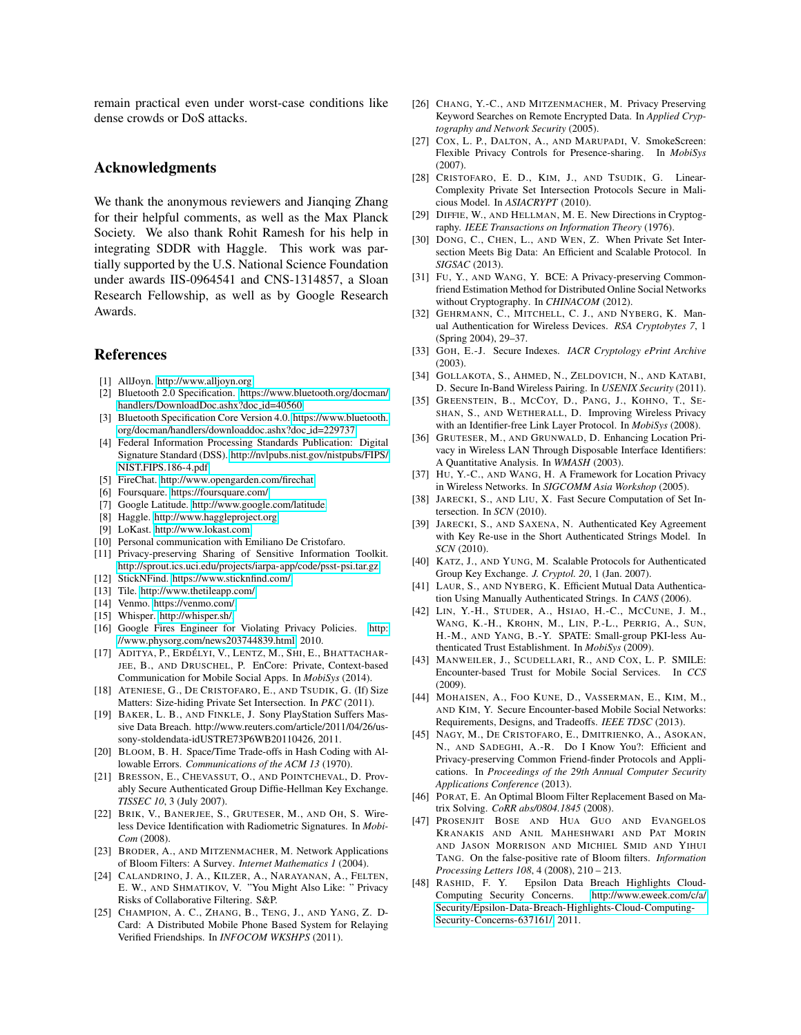remain practical even under worst-case conditions like dense crowds or DoS attacks.

## Acknowledgments

We thank the anonymous reviewers and Jianqing Zhang for their helpful comments, as well as the Max Planck Society. We also thank Rohit Ramesh for his help in integrating SDDR with Haggle. This work was partially supported by the U.S. National Science Foundation under awards IIS-0964541 and CNS-1314857, a Sloan Research Fellowship, as well as by Google Research Awards.

#### References

- <span id="page-12-13"></span>[1] AllJoyn. [http://www.alljoyn.org.](http://www.alljoyn.org)
- <span id="page-12-15"></span>[2] Bluetooth 2.0 Specification. [https://www.bluetooth.org/docman/](https://www.bluetooth.org/docman/handlers/DownloadDoc.ashx?doc_id=40560) [handlers/DownloadDoc.ashx?doc](https://www.bluetooth.org/docman/handlers/DownloadDoc.ashx?doc_id=40560)\_id=40560.
- <span id="page-12-18"></span>[3] Bluetooth Specification Core Version 4.0. [https://www.bluetooth.](https://www.bluetooth.org/docman/handlers/downloaddoc.ashx?doc_id=229737) [org/docman/handlers/downloaddoc.ashx?doc](https://www.bluetooth.org/docman/handlers/downloaddoc.ashx?doc_id=229737) id=229737.
- <span id="page-12-41"></span>[4] Federal Information Processing Standards Publication: Digital Signature Standard (DSS). [http://nvlpubs.nist.gov/nistpubs/FIPS/](http://nvlpubs.nist.gov/nistpubs/FIPS/NIST.FIPS.186-4.pdf) [NIST.FIPS.186-4.pdf.](http://nvlpubs.nist.gov/nistpubs/FIPS/NIST.FIPS.186-4.pdf)
- <span id="page-12-2"></span>[5] FireChat. [http://www.opengarden.com/firechat.](http://www.opengarden.com/firechat)
- <span id="page-12-0"></span>[6] Foursquare. [https://foursquare.com/.](https://foursquare.com/)
- <span id="page-12-1"></span>[7] Google Latitude. [http://www.google.com/latitude.](http://www.google.com/latitude)
- <span id="page-12-42"></span>[8] Haggle. [http://www.haggleproject.org.](http://www.haggleproject.org)
- <span id="page-12-14"></span>[9] LoKast. [http://www.lokast.com.](http://www.lokast.com)
- <span id="page-12-46"></span>[10] Personal communication with Emiliano De Cristofaro.
- <span id="page-12-43"></span>[11] Privacy-preserving Sharing of Sensitive Information Toolkit. [http://sprout.ics.uci.edu/projects/iarpa-app/code/psst-psi.tar.gz.](http://sprout.ics.uci.edu/projects/iarpa-app/code/psst-psi.tar.gz)
- <span id="page-12-7"></span>[12] StickNFind. [https://www.sticknfind.com/.](https://www.sticknfind.com/)
- <span id="page-12-6"></span>[13] Tile. [http://www.thetileapp.com/.](http://www.thetileapp.com/)
- <span id="page-12-8"></span>[14] Venmo. [https://venmo.com/.](https://venmo.com/)
- <span id="page-12-3"></span>[15] Whisper. [http://whisper.sh/.](http://whisper.sh/)
- <span id="page-12-9"></span>[16] Google Fires Engineer for Violating Privacy Policies. [http:](http://www.physorg.com/news203744839.html) [//www.physorg.com/news203744839.html,](http://www.physorg.com/news203744839.html) 2010.
- <span id="page-12-40"></span>[17] ADITYA, P., ERDÉLYI, V., LENTZ, M., SHI, E., BHATTACHAR-JEE, B., AND DRUSCHEL, P. EnCore: Private, Context-based Communication for Mobile Social Apps. In *MobiSys* (2014).
- <span id="page-12-45"></span>[18] ATENIESE, G., DE CRISTOFARO, E., AND TSUDIK, G. (If) Size Matters: Size-hiding Private Set Intersection. In *PKC* (2011).
- <span id="page-12-10"></span>[19] BAKER, L. B., AND FINKLE, J. Sony PlayStation Suffers Massive Data Breach. http://www.reuters.com/article/2011/04/26/ussony-stoldendata-idUSTRE73P6WB20110426, 2011.
- <span id="page-12-20"></span>[20] BLOOM, B. H. Space/Time Trade-offs in Hash Coding with Allowable Errors. *Communications of the ACM 13* (1970).
- <span id="page-12-28"></span>[21] BRESSON, E., CHEVASSUT, O., AND POINTCHEVAL, D. Provably Secure Authenticated Group Diffie-Hellman Key Exchange. *TISSEC 10*, 3 (July 2007).
- <span id="page-12-30"></span>[22] BRIK, V., BANERJEE, S., GRUTESER, M., AND OH, S. Wireless Device Identification with Radiometric Signatures. In *Mobi-Com* (2008).
- <span id="page-12-21"></span>[23] BRODER, A., AND MITZENMACHER, M. Network Applications of Bloom Filters: A Survey. *Internet Mathematics 1* (2004).
- <span id="page-12-11"></span>[24] CALANDRINO, J. A., KILZER, A., NARAYANAN, A., FELTEN, E. W., AND SHMATIKOV, V. "You Might Also Like: " Privacy Risks of Collaborative Filtering. S&P.
- <span id="page-12-24"></span>[25] CHAMPION, A. C., ZHANG, B., TENG, J., AND YANG, Z. D-Card: A Distributed Mobile Phone Based System for Relaying Verified Friendships. In *INFOCOM WKSHPS* (2011).
- <span id="page-12-23"></span>[26] CHANG, Y.-C., AND MITZENMACHER, M. Privacy Preserving Keyword Searches on Remote Encrypted Data. In *Applied Cryptography and Network Security* (2005).
- <span id="page-12-5"></span>[27] COX, L. P., DALTON, A., AND MARUPADI, V. SmokeScreen: Flexible Privacy Controls for Presence-sharing. In *MobiSys* (2007).
- <span id="page-12-32"></span>[28] CRISTOFARO, E. D., KIM, J., AND TSUDIK, G. Linear-Complexity Private Set Intersection Protocols Secure in Malicious Model. In *ASIACRYPT* (2010).
- <span id="page-12-31"></span>[29] DIFFIE, W., AND HELLMAN, M. E. New Directions in Cryptography. *IEEE Transactions on Information Theory* (1976).
- <span id="page-12-26"></span>[30] DONG, C., CHEN, L., AND WEN, Z. When Private Set Intersection Meets Big Data: An Efficient and Scalable Protocol. In *SIGSAC* (2013).
- <span id="page-12-25"></span>[31] FU, Y., AND WANG, Y. BCE: A Privacy-preserving Commonfriend Estimation Method for Distributed Online Social Networks without Cryptography. In *CHINACOM* (2012).
- <span id="page-12-35"></span>[32] GEHRMANN, C., MITCHELL, C. J., AND NYBERG, K. Manual Authentication for Wireless Devices. *RSA Cryptobytes 7*, 1 (Spring 2004), 29–37.
- <span id="page-12-22"></span>[33] GOH, E.-J. Secure Indexes. *IACR Cryptology ePrint Archive* (2003).
- <span id="page-12-38"></span>[34] GOLLAKOTA, S., AHMED, N., ZELDOVICH, N., AND KATABI, D. Secure In-Band Wireless Pairing. In *USENIX Security* (2011).
- <span id="page-12-16"></span>[35] GREENSTEIN, B., MCCOY, D., PANG, J., KOHNO, T., SE-SHAN, S., AND WETHERALL, D. Improving Wireless Privacy with an Identifier-free Link Layer Protocol. In *MobiSys* (2008).
- [36] GRUTESER, M., AND GRUNWALD, D. Enhancing Location Privacy in Wireless LAN Through Disposable Interface Identifiers: A Quantitative Analysis. In *WMASH* (2003).
- <span id="page-12-17"></span>[37] HU, Y.-C., AND WANG, H. A Framework for Location Privacy in Wireless Networks. In *SIGCOMM Asia Workshop* (2005).
- <span id="page-12-44"></span>[38] JARECKI, S., AND LIU, X. Fast Secure Computation of Set Intersection. In *SCN* (2010).
- <span id="page-12-33"></span>[39] JARECKI, S., AND SAXENA, N. Authenticated Key Agreement with Key Re-use in the Short Authenticated Strings Model. In *SCN* (2010).
- <span id="page-12-29"></span>[40] KATZ, J., AND YUNG, M. Scalable Protocols for Authenticated Group Key Exchange. *J. Cryptol. 20*, 1 (Jan. 2007).
- <span id="page-12-36"></span>[41] LAUR, S., AND NYBERG, K. Efficient Mutual Data Authentication Using Manually Authenticated Strings. In *CANS* (2006).
- <span id="page-12-37"></span>[42] LIN, Y.-H., STUDER, A., HSIAO, H.-C., MCCUNE, J. M., WANG, K.-H., KROHN, M., LIN, P.-L., PERRIG, A., SUN, H.-M., AND YANG, B.-Y. SPATE: Small-group PKI-less Authenticated Trust Establishment. In *MobiSys* (2009).
- <span id="page-12-4"></span>[43] MANWEILER, J., SCUDELLARI, R., AND COX, L. P. SMILE: Encounter-based Trust for Mobile Social Services. In *CCS* (2009).
- <span id="page-12-19"></span>[44] MOHAISEN, A., FOO KUNE, D., VASSERMAN, E., KIM, M., AND KIM, Y. Secure Encounter-based Mobile Social Networks: Requirements, Designs, and Tradeoffs. *IEEE TDSC* (2013).
- <span id="page-12-27"></span>[45] NAGY, M., DE CRISTOFARO, E., DMITRIENKO, A., ASOKAN, N., AND SADEGHI, A.-R. Do I Know You?: Efficient and Privacy-preserving Common Friend-finder Protocols and Applications. In *Proceedings of the 29th Annual Computer Security Applications Conference* (2013).
- <span id="page-12-34"></span>[46] PORAT, E. An Optimal Bloom Filter Replacement Based on Matrix Solving. *CoRR abs/0804.1845* (2008).
- <span id="page-12-39"></span>[47] PROSENJIT BOSE AND HUA GUO AND EVANGELOS KRANAKIS AND ANIL MAHESHWARI AND PAT MORIN AND JASON MORRISON AND MICHIEL SMID AND YIHUI TANG. On the false-positive rate of Bloom filters. *Information Processing Letters 108*, 4 (2008), 210 – 213.
- <span id="page-12-12"></span>[48] RASHID, F. Y. Epsilon Data Breach Highlights Cloud-Computing Security Concerns. [http://www.eweek.com/c/a/](http://www.eweek.com/c/a/Security/Epsilon-Data-Breach-Highlights-Cloud-Computing-Security-Concerns-637161/) [Security/Epsilon-Data-Breach-Highlights-Cloud-Computing-](http://www.eweek.com/c/a/Security/Epsilon-Data-Breach-Highlights-Cloud-Computing-Security-Concerns-637161/)[Security-Concerns-637161/,](http://www.eweek.com/c/a/Security/Epsilon-Data-Breach-Highlights-Cloud-Computing-Security-Concerns-637161/) 2011.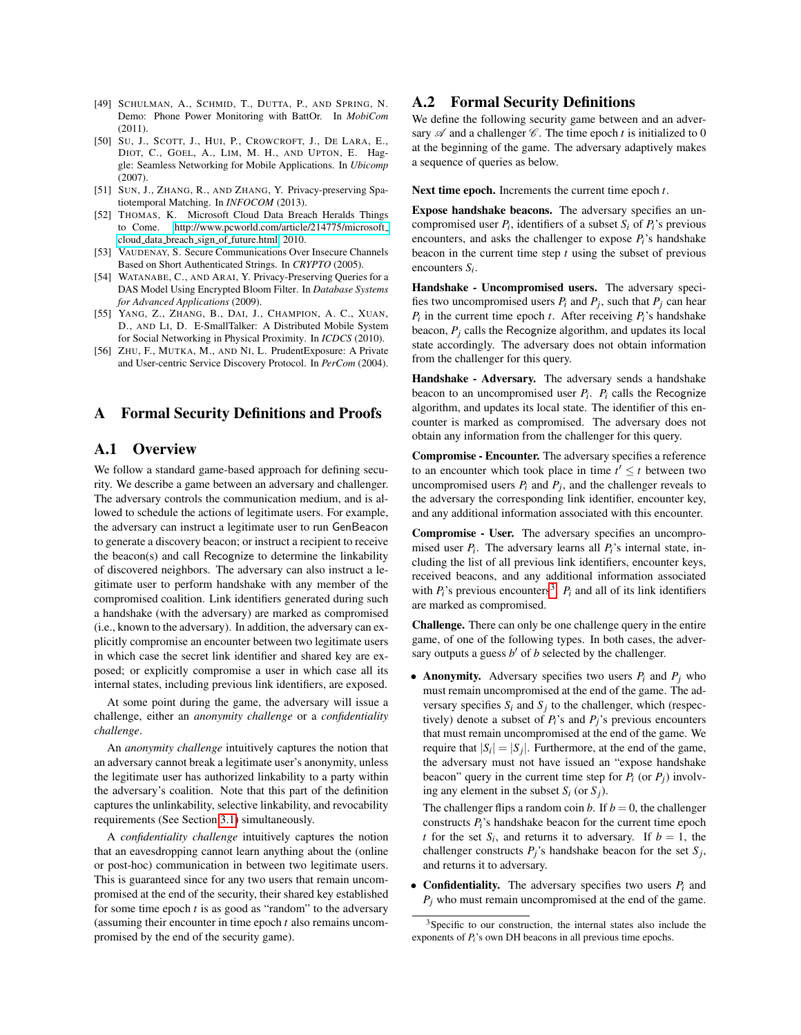- <span id="page-13-7"></span>[49] SCHULMAN, A., SCHMID, T., DUTTA, P., AND SPRING, N. Demo: Phone Power Monitoring with BattOr. In *MobiCom* (2011).
- <span id="page-13-0"></span>[50] SU, J., SCOTT, J., HUI, P., CROWCROFT, J., DE LARA, E., DIOT, C., GOEL, A., LIM, M. H., AND UPTON, E. Haggle: Seamless Networking for Mobile Applications. In *Ubicomp* (2007).
- <span id="page-13-5"></span>[51] SUN, J., ZHANG, R., AND ZHANG, Y. Privacy-preserving Spatiotemporal Matching. In *INFOCOM* (2013).
- <span id="page-13-1"></span>[52] THOMAS, K. Microsoft Cloud Data Breach Heralds Things to Come. [http://www.pcworld.com/article/214775/microsoft]( http://www.pcworld.com/article/214775/microsoft_cloud_data_breach_sign_of_future.html) cloud data breach sign of [future.html,]( http://www.pcworld.com/article/214775/microsoft_cloud_data_breach_sign_of_future.html) 2010.
- <span id="page-13-6"></span>[53] VAUDENAY, S. Secure Communications Over Insecure Channels Based on Short Authenticated Strings. In *CRYPTO* (2005).
- <span id="page-13-2"></span>[54] WATANABE, C., AND ARAI, Y. Privacy-Preserving Queries for a DAS Model Using Encrypted Bloom Filter. In *Database Systems for Advanced Applications* (2009).
- <span id="page-13-4"></span>[55] YANG, Z., ZHANG, B., DAI, J., CHAMPION, A. C., XUAN, D., AND LI, D. E-SmallTalker: A Distributed Mobile System for Social Networking in Physical Proximity. In *ICDCS* (2010).
- <span id="page-13-3"></span>[56] ZHU, F., MUTKA, M., AND NI, L. PrudentExposure: A Private and User-centric Service Discovery Protocol. In *PerCom* (2004).

#### A Formal Security Definitions and Proofs

### A.1 Overview

We follow a standard game-based approach for defining security. We describe a game between an adversary and challenger. The adversary controls the communication medium, and is allowed to schedule the actions of legitimate users. For example, the adversary can instruct a legitimate user to run GenBeacon to generate a discovery beacon; or instruct a recipient to receive the beacon(s) and call Recognize to determine the linkability of discovered neighbors. The adversary can also instruct a legitimate user to perform handshake with any member of the compromised coalition. Link identifiers generated during such a handshake (with the adversary) are marked as compromised (i.e., known to the adversary). In addition, the adversary can explicitly compromise an encounter between two legitimate users in which case the secret link identifier and shared key are exposed; or explicitly compromise a user in which case all its internal states, including previous link identifiers, are exposed.

At some point during the game, the adversary will issue a challenge, either an *anonymity challenge* or a *confidentiality challenge*.

An *anonymity challenge* intuitively captures the notion that an adversary cannot break a legitimate user's anonymity, unless the legitimate user has authorized linkability to a party within the adversary's coalition. Note that this part of the definition captures the unlinkability, selective linkability, and revocability requirements (See Section [3.1\)](#page-3-1) simultaneously.

A *confidentiality challenge* intuitively captures the notion that an eavesdropping cannot learn anything about the (online or post-hoc) communication in between two legitimate users. This is guaranteed since for any two users that remain uncompromised at the end of the security, their shared key established for some time epoch *t* is as good as "random" to the adversary (assuming their encounter in time epoch *t* also remains uncompromised by the end of the security game).

## A.2 Formal Security Definitions

We define the following security game between and an adversary  $\mathscr A$  and a challenger  $\mathscr C$ . The time epoch *t* is initialized to 0 at the beginning of the game. The adversary adaptively makes a sequence of queries as below.

Next time epoch. Increments the current time epoch *t*.

Expose handshake beacons. The adversary specifies an uncompromised user  $P_i$ , identifiers of a subset  $S_i$  of  $P_i$ 's previous encounters, and asks the challenger to expose  $P_i$ 's handshake beacon in the current time step *t* using the subset of previous encounters *Si* .

Handshake - Uncompromised users. The adversary specifies two uncompromised users  $P_i$  and  $P_j$ , such that  $P_j$  can hear  $P_i$  in the current time epoch *t*. After receiving  $P_i$ 's handshake beacon, *P<sup>j</sup>* calls the Recognize algorithm, and updates its local state accordingly. The adversary does not obtain information from the challenger for this query.

Handshake - Adversary. The adversary sends a handshake beacon to an uncompromised user *Pi* . *P<sup>i</sup>* calls the Recognize algorithm, and updates its local state. The identifier of this encounter is marked as compromised. The adversary does not obtain any information from the challenger for this query.

Compromise - Encounter. The adversary specifies a reference to an encounter which took place in time  $t' \leq t$  between two uncompromised users  $P_i$  and  $P_j$ , and the challenger reveals to the adversary the corresponding link identifier, encounter key, and any additional information associated with this encounter.

Compromise - User. The adversary specifies an uncompromised user  $P_i$ . The adversary learns all  $P_i$ 's internal state, including the list of all previous link identifiers, encounter keys, received beacons, and any additional information associated with  $P_i$ 's previous encounters<sup>[3](#page-13-8)</sup>.  $P_i$  and all of its link identifiers are marked as compromised.

Challenge. There can only be one challenge query in the entire game, of one of the following types. In both cases, the adversary outputs a guess  $b'$  of  $b$  selected by the challenger.

• Anonymity. Adversary specifies two users  $P_i$  and  $P_j$  who must remain uncompromised at the end of the game. The adversary specifies  $S_i$  and  $S_j$  to the challenger, which (respectively) denote a subset of  $P_i$ 's and  $P_j$ 's previous encounters that must remain uncompromised at the end of the game. We require that  $|S_i| = |S_j|$ . Furthermore, at the end of the game, the adversary must not have issued an "expose handshake beacon" query in the current time step for  $P_i$  (or  $P_j$ ) involving any element in the subset  $S_i$  (or  $S_j$ ).

The challenger flips a random coin *b*. If  $b = 0$ , the challenger constructs *Pi*'s handshake beacon for the current time epoch *t* for the set  $S_i$ , and returns it to adversary. If  $b = 1$ , the challenger constructs  $P_j$ 's handshake beacon for the set  $S_j$ , and returns it to adversary.

• Confidentiality. The adversary specifies two users *P<sup>i</sup>* and  $P_i$  who must remain uncompromised at the end of the game.

<span id="page-13-8"></span><sup>&</sup>lt;sup>3</sup>Specific to our construction, the internal states also include the exponents of *Pi*'s own DH beacons in all previous time epochs.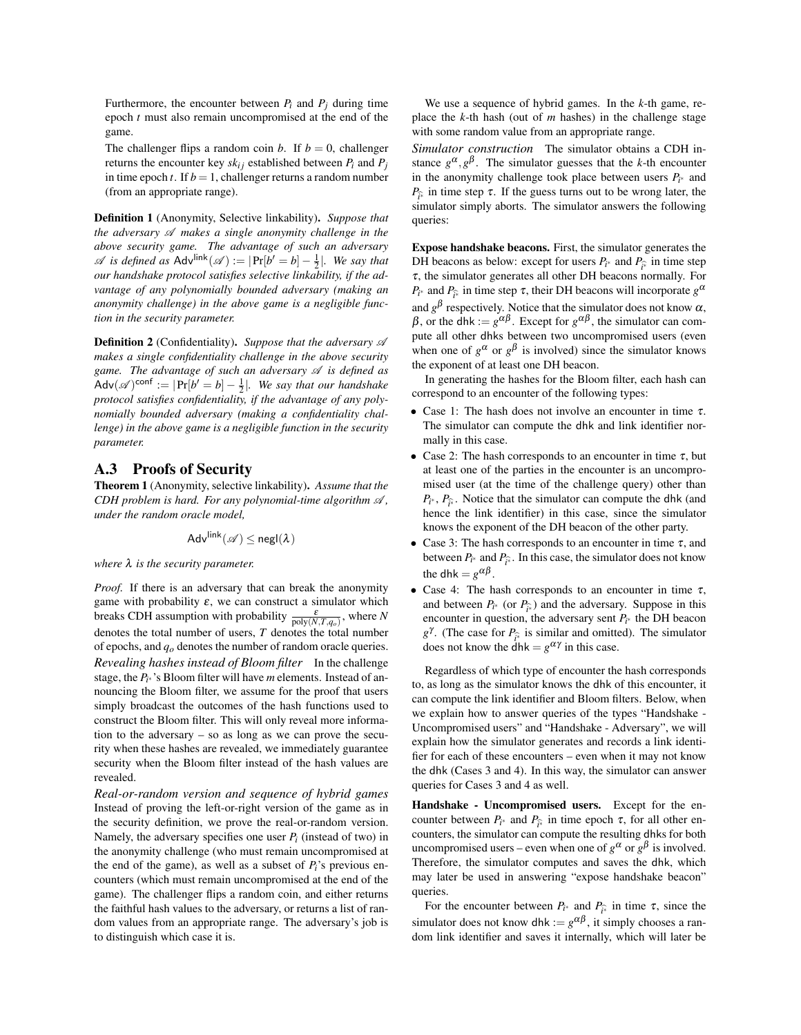Furthermore, the encounter between  $P_i$  and  $P_j$  during time epoch *t* must also remain uncompromised at the end of the game.

The challenger flips a random coin *b*. If  $b = 0$ , challenger returns the encounter key  $sk_{ij}$  established between  $P_i$  and  $P_j$ in time epoch  $t$ . If  $b = 1$ , challenger returns a random number (from an appropriate range).

Definition 1 (Anonymity, Selective linkability). *Suppose that the adversary* A *makes a single anonymity challenge in the above security game. The advantage of such an adversary*  $\mathscr A$  *is defined as*  $\mathsf{Adv}^{\mathsf{link}}(\mathscr A) := |\Pr[b' = b] - \frac{1}{2}|$ *. We say that our handshake protocol satisfies selective linkability, if the advantage of any polynomially bounded adversary (making an anonymity challenge) in the above game is a negligible function in the security parameter.*

**Definition 2** (Confidentiality). Suppose that the adversary  $\mathscr A$ *makes a single confidentiality challenge in the above security game. The advantage of such an adversary*  $\mathscr A$  *is defined as*  $\mathsf{Adv}(\mathscr{A})^{\mathsf{conf}} := |\Pr[b' = b] - \frac{1}{2}|$ *. We say that our handshake protocol satisfies confidentiality, if the advantage of any polynomially bounded adversary (making a confidentiality challenge) in the above game is a negligible function in the security parameter.*

#### <span id="page-14-0"></span>A.3 Proofs of Security

<span id="page-14-1"></span>Theorem 1 (Anonymity, selective linkability). *Assume that the CDH problem is hard. For any polynomial-time algorithm*  $\mathcal{A}$ *, under the random oracle model,*

$$
\mathsf{Adv}^\mathsf{link}(\mathscr{A}) \le \mathsf{negl}(\lambda)
$$

*where* λ *is the security parameter.*

*Proof.* If there is an adversary that can break the anonymity game with probability  $\varepsilon$ , we can construct a simulator which breaks CDH assumption with probability  $\frac{\varepsilon}{\text{poly}(N,T,q_o)}$ , where *N* denotes the total number of users, *T* denotes the total number of epochs, and *qo* denotes the number of random oracle queries. *Revealing hashes instead of Bloom filter* In the challenge stage, the *Pi* <sup>∗</sup> 's Bloom filter will have *m* elements. Instead of announcing the Bloom filter, we assume for the proof that users simply broadcast the outcomes of the hash functions used to construct the Bloom filter. This will only reveal more information to the adversary – so as long as we can prove the security when these hashes are revealed, we immediately guarantee security when the Bloom filter instead of the hash values are revealed.

*Real-or-random version and sequence of hybrid games* Instead of proving the left-or-right version of the game as in the security definition, we prove the real-or-random version. Namely, the adversary specifies one user  $P_i$  (instead of two) in the anonymity challenge (who must remain uncompromised at the end of the game), as well as a subset of  $P_i$ 's previous encounters (which must remain uncompromised at the end of the game). The challenger flips a random coin, and either returns the faithful hash values to the adversary, or returns a list of random values from an appropriate range. The adversary's job is to distinguish which case it is.

We use a sequence of hybrid games. In the *k*-th game, replace the *k*-th hash (out of *m* hashes) in the challenge stage with some random value from an appropriate range.

*Simulator construction* The simulator obtains a CDH instance  $g^{\alpha}, g^{\beta}$ . The simulator guesses that the *k*-th encounter in the anonymity challenge took place between users  $P_i^*$  and  $P_{\hat{t}^{\hat{t}}}$  in time step  $\tau$ . If the guess turns out to be wrong later, the simulator simply abouts. The simulator appears the following simulator simply aborts. The simulator answers the following queries:

Expose handshake beacons. First, the simulator generates the DH beacons as below: except for users  $P_i^*$  and  $P_{\hat{i}^*}$  in time step  $\tau$ , the simulator generates all other DH become parmally. For τ, the simulator generates all other DH beacons normally. For  $P_{i^*}$  and  $P_{\hat{i}^*}$  in time step  $\tau$ , their DH beacons will incorporate  $g^{\alpha}$ and  $g^{\beta}$  respectively. Notice that the simulator does not know  $\alpha$ ,  $β$ , or the dhk :=  $g^{\alpha\beta}$ . Except for  $g^{\alpha\beta}$ , the simulator can compute all other dhks between two uncompromised users (even when one of  $g^{\alpha}$  or  $g^{\beta}$  is involved) since the simulator knows the exponent of at least one DH beacon.

In generating the hashes for the Bloom filter, each hash can correspond to an encounter of the following types:

- Case 1: The hash does not involve an encounter in time  $\tau$ . The simulator can compute the dhk and link identifier normally in this case.
- Case 2: The hash corresponds to an encounter in time  $\tau$ , but at least one of the parties in the encounter is an uncompromised user (at the time of the challenge query) other than  $P_i^*, P_{\hat{i}^*}$ . Notice that the simulator can compute the dhk (and hance the link identifier) in this case, since the simulator hence the link identifier) in this case, since the simulator knows the exponent of the DH beacon of the other party.
- Case 3: The hash corresponds to an encounter in time  $\tau$ , and between  $P_i^*$  and  $P_{\hat{i}^*}$ . In this case, the simulator does not know the dhk =  $g^{\alpha\beta}$ .
- Case 4: The hash corresponds to an encounter in time  $\tau$ , and between  $P_i^*$  (or  $P_i^*$ ) and the adversary. Suppose in this encounter in question, the adversary sent  $P_i$ , the DH becomencounter in question, the adversary sent  $P_i^*$  the DH beacon *g*<sup>γ</sup>. (The case for  $P_{\hat{i}^*}$  is similar and omitted). The simulator does not know the dhk =  $a^{\alpha\gamma}$  in this case. does not know the dhk =  $g^{\alpha\gamma}$  in this case.

Regardless of which type of encounter the hash corresponds to, as long as the simulator knows the dhk of this encounter, it can compute the link identifier and Bloom filters. Below, when we explain how to answer queries of the types "Handshake - Uncompromised users" and "Handshake - Adversary", we will explain how the simulator generates and records a link identifier for each of these encounters – even when it may not know the dhk (Cases 3 and 4). In this way, the simulator can answer queries for Cases 3 and 4 as well.

Handshake - Uncompromised users. Except for the encounter between  $P_i^*$  and  $P_i^*$  in time epoch  $\tau$ , for all other en-<br>counters the simulator can compute the resulting dhist for both counters, the simulator can compute the resulting dhks for both uncompromised users – even when one of  $g^{\alpha}$  or  $g^{\beta}$  is involved. Therefore, the simulator computes and saves the dhk, which may later be used in answering "expose handshake beacon" queries.

For the encounter between  $P_i^*$  and  $P_i^*$  in time  $\tau$ , since the simulator does not know dhk :=  $g^{\alpha\beta}$ , it simply chooses a random link identifier and saves it internally, which will later be